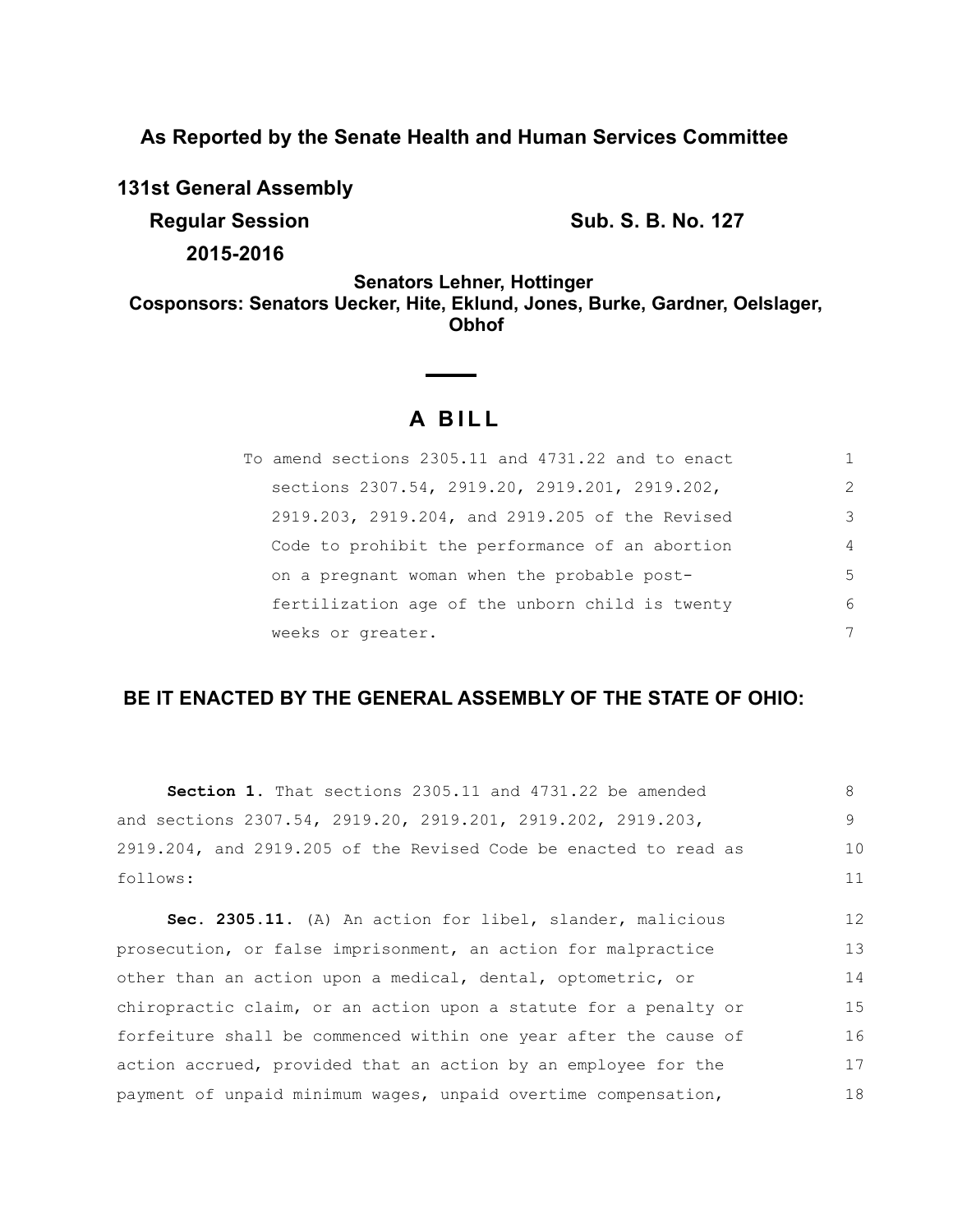**As Reported by the Senate Health and Human Services Committee**

**131st General Assembly**

**Regular Session Sub. S. B. No. 127 2015-2016**

**Senators Lehner, Hottinger Cosponsors: Senators Uecker, Hite, Eklund, Jones, Burke, Gardner, Oelslager, Obhof**

# **A BILL**

| To amend sections 2305.11 and 4731.22 and to enact |                |
|----------------------------------------------------|----------------|
| sections 2307.54, 2919.20, 2919.201, 2919.202,     | 2              |
| 2919.203, 2919.204, and 2919.205 of the Revised    | 3              |
| Code to prohibit the performance of an abortion    | $\overline{4}$ |
| on a pregnant woman when the probable post-        | .5             |
| fertilization age of the unborn child is twenty    | 6              |
| weeks or greater.                                  | 7              |

# **BE IT ENACTED BY THE GENERAL ASSEMBLY OF THE STATE OF OHIO:**

| <b>Section 1.</b> That sections 2305.11 and 4731.22 be amended   | 8  |
|------------------------------------------------------------------|----|
| and sections 2307.54, 2919.20, 2919.201, 2919.202, 2919.203,     | 9  |
| 2919.204, and 2919.205 of the Revised Code be enacted to read as | 10 |
| follows:                                                         | 11 |
| Sec. 2305.11. (A) An action for libel, slander, malicious        | 12 |
| prosecution, or false imprisonment, an action for malpractice    | 13 |
| other than an action upon a medical, dental, optometric, or      | 14 |
| chiropractic claim, or an action upon a statute for a penalty or | 15 |
| forfeiture shall be commenced within one year after the cause of | 16 |

action accrued, provided that an action by an employee for the payment of unpaid minimum wages, unpaid overtime compensation, 17 18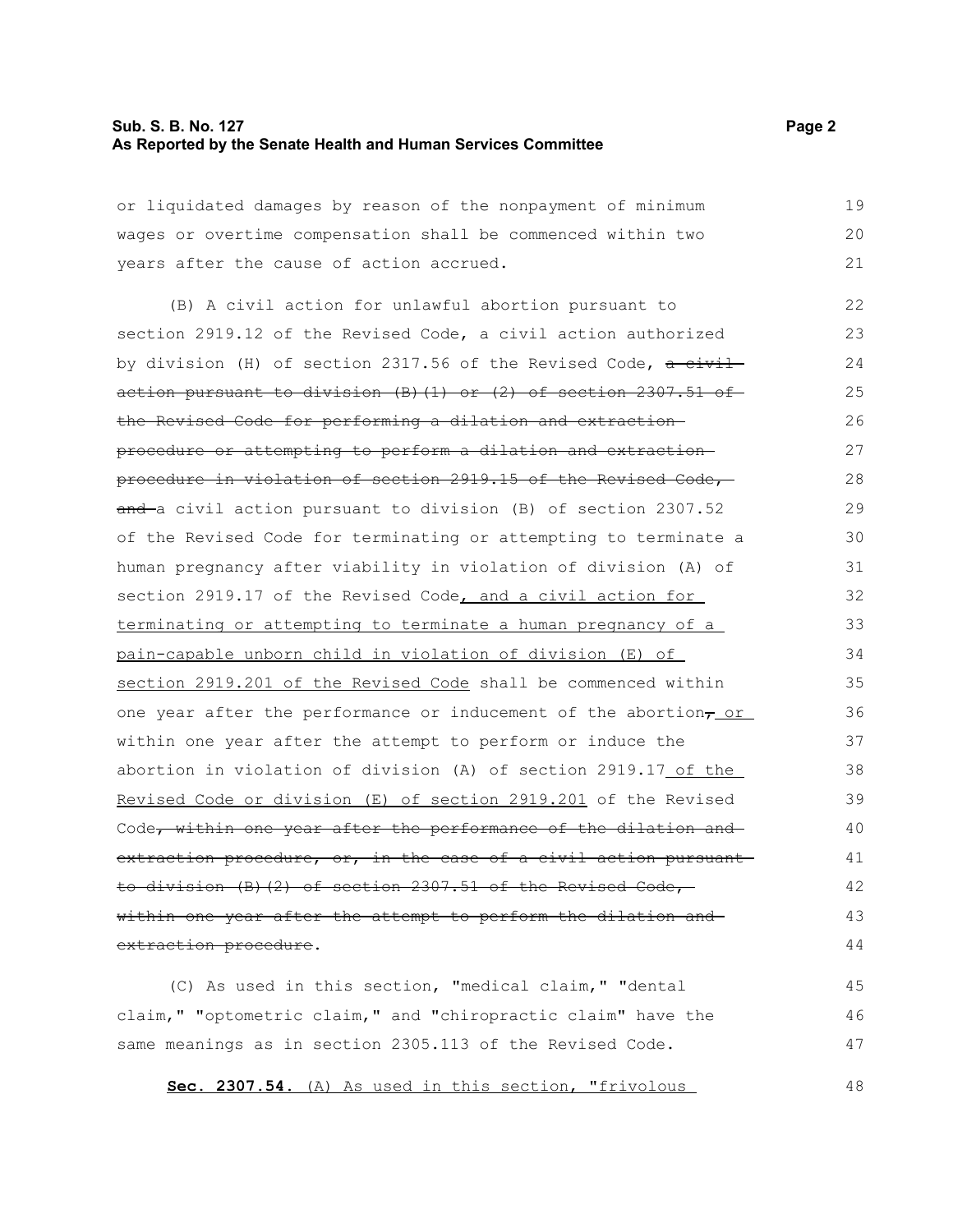### **Sub. S. B. No. 127 Page 2 As Reported by the Senate Health and Human Services Committee**

or liquidated damages by reason of the nonpayment of minimum wages or overtime compensation shall be commenced within two years after the cause of action accrued. 19 20 21

(B) A civil action for unlawful abortion pursuant to section 2919.12 of the Revised Code, a civil action authorized by division (H) of section 2317.56 of the Revised Code,  $a$  civil action pursuant to division  $(B)$   $(1)$  or  $(2)$  of section 2307.51 of the Revised Code for performing a dilation and extraction procedure or attempting to perform a dilation and extraction procedure in violation of section 2919.15 of the Revised Code, and a civil action pursuant to division (B) of section 2307.52 of the Revised Code for terminating or attempting to terminate a human pregnancy after viability in violation of division (A) of section 2919.17 of the Revised Code, and a civil action for terminating or attempting to terminate a human pregnancy of a pain-capable unborn child in violation of division (E) of section 2919.201 of the Revised Code shall be commenced within one year after the performance or inducement of the abortion $<sub>\tau</sub>$  or</sub> within one year after the attempt to perform or induce the abortion in violation of division (A) of section 2919.17 of the Revised Code or division (E) of section 2919.201 of the Revised Code, within one year after the performance of the dilation and extraction procedure, or, in the case of a civil action pursuantto division (B)(2) of section 2307.51 of the Revised Code, within one year after the attempt to perform the dilation and extraction procedure. 22 23 24 25 26 27 28 29 30 31 32 33 34 35 36 37 38 39 40 41 42 43 44

(C) As used in this section, "medical claim," "dental claim," "optometric claim," and "chiropractic claim" have the same meanings as in section 2305.113 of the Revised Code. 45 46 47

**Sec. 2307.54.** (A) As used in this section, "frivolous

48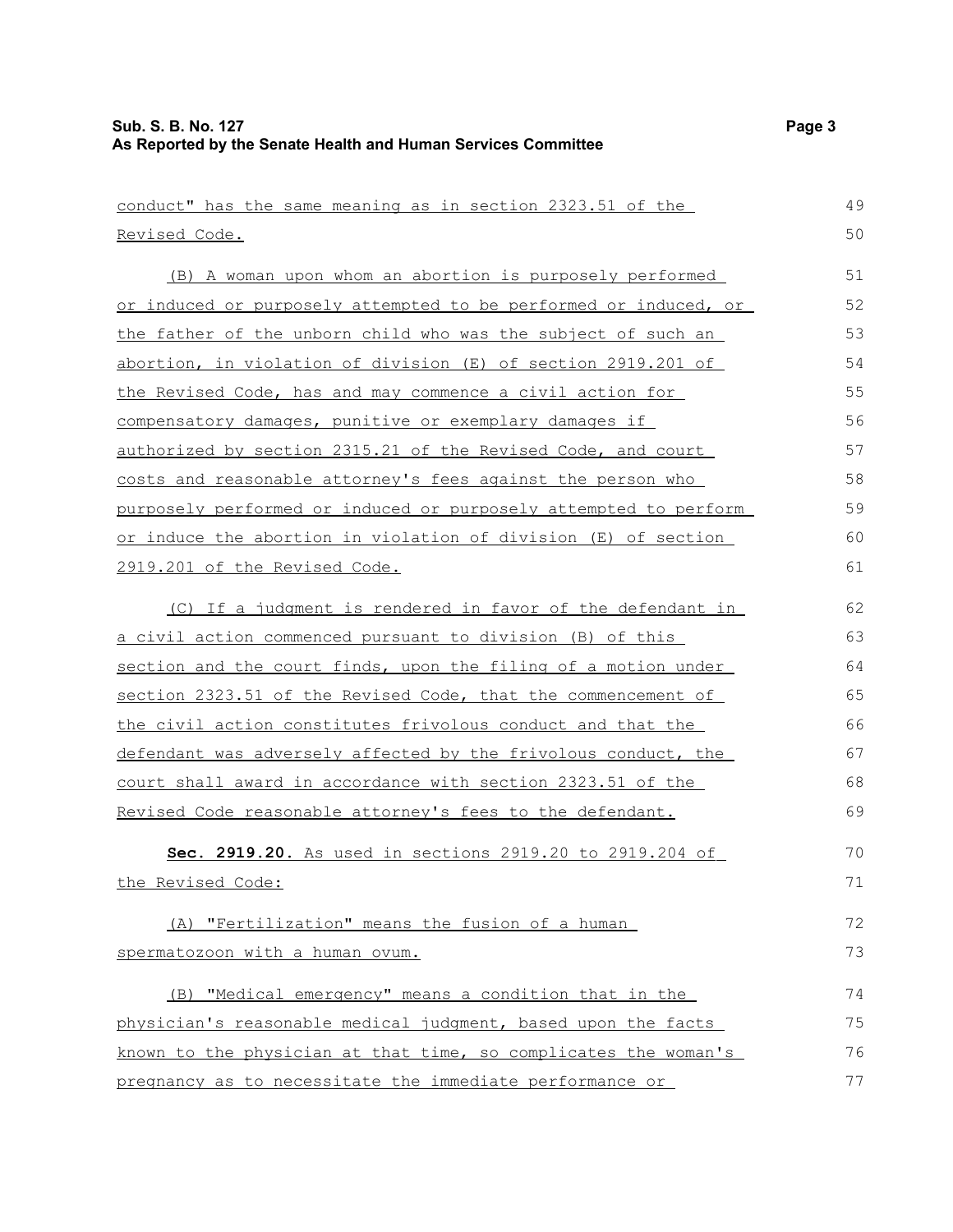| conduct" has the same meaning as in section 2323.51 of the       | 49 |
|------------------------------------------------------------------|----|
| Revised Code.                                                    | 50 |
| (B) A woman upon whom an abortion is purposely performed         | 51 |
| or induced or purposely attempted to be performed or induced, or | 52 |
| the father of the unborn child who was the subject of such an    | 53 |
| abortion, in violation of division (E) of section 2919.201 of    | 54 |
| the Revised Code, has and may commence a civil action for        | 55 |
| compensatory damages, punitive or exemplary damages if           | 56 |
| authorized by section 2315.21 of the Revised Code, and court     | 57 |
| costs and reasonable attorney's fees against the person who      | 58 |
| purposely performed or induced or purposely attempted to perform | 59 |
| or induce the abortion in violation of division (E) of section   | 60 |
| 2919.201 of the Revised Code.                                    | 61 |
| (C) If a judgment is rendered in favor of the defendant in       | 62 |
| <u>a civil action commenced pursuant to division (B) of this</u> | 63 |
| section and the court finds, upon the filing of a motion under   | 64 |
| section 2323.51 of the Revised Code, that the commencement of    | 65 |
| the civil action constitutes frivolous conduct and that the      | 66 |
| defendant was adversely affected by the frivolous conduct, the   | 67 |
| court shall award in accordance with section 2323.51 of the      | 68 |
| Revised Code reasonable attorney's fees to the defendant.        | 69 |
| Sec. 2919.20. As used in sections 2919.20 to 2919.204 of         | 70 |
| the Revised Code:                                                | 71 |
|                                                                  |    |
| (A) "Fertilization" means the fusion of a human                  | 72 |
| spermatozoon with a human ovum.                                  | 73 |
| (B) "Medical emergency" means a condition that in the            | 74 |
| physician's reasonable medical judgment, based upon the facts    | 75 |
| known to the physician at that time, so complicates the woman's  | 76 |
| pregnancy as to necessitate the immediate performance or         | 77 |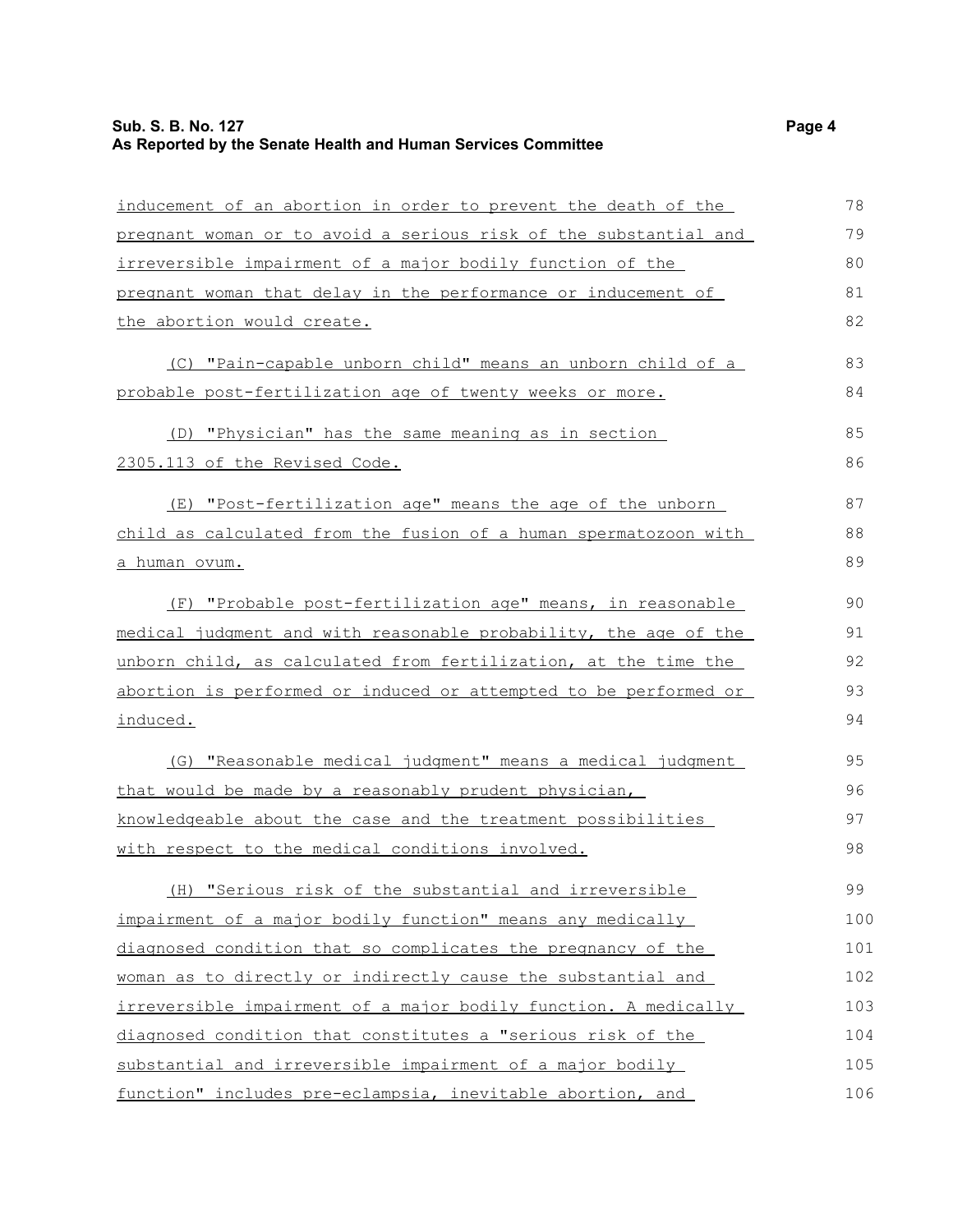# **Sub. S. B. No. 127 Page 4 As Reported by the Senate Health and Human Services Committee**

| inducement of an abortion in order to prevent the death of the   | 78  |
|------------------------------------------------------------------|-----|
| pregnant woman or to avoid a serious risk of the substantial and | 79  |
| irreversible impairment of a major bodily function of the        | 80  |
| pregnant woman that delay in the performance or inducement of    | 81  |
| the abortion would create.                                       | 82  |
| (C) "Pain-capable unborn child" means an unborn child of a       | 83  |
| probable post-fertilization age of twenty weeks or more.         | 84  |
| (D) "Physician" has the same meaning as in section               | 85  |
| 2305.113 of the Revised Code.                                    | 86  |
| (E) "Post-fertilization age" means the age of the unborn         | 87  |
| child as calculated from the fusion of a human spermatozoon with | 88  |
| a human ovum.                                                    | 89  |
| (F) "Probable post-fertilization age" means, in reasonable       | 90  |
| medical judgment and with reasonable probability, the age of the | 91  |
| unborn child, as calculated from fertilization, at the time the  | 92  |
| abortion is performed or induced or attempted to be performed or | 93  |
| induced.                                                         | 94  |
| (G) "Reasonable medical judgment" means a medical judgment       | 95  |
| that would be made by a reasonably prudent physician,            | 96  |
| knowledgeable about the case and the treatment possibilities     | 97  |
| with respect to the medical conditions involved.                 | 98  |
| (H) "Serious risk of the substantial and irreversible            | 99  |
| impairment of a major bodily function" means any medically       | 100 |
| diagnosed condition that so complicates the pregnancy of the     | 101 |
| woman as to directly or indirectly cause the substantial and     | 102 |
| irreversible impairment of a major bodily function. A medically  | 103 |
| diagnosed condition that constitutes a "serious risk of the      | 104 |
| substantial and irreversible impairment of a major bodily        | 105 |
| function" includes pre-eclampsia, inevitable abortion, and       | 106 |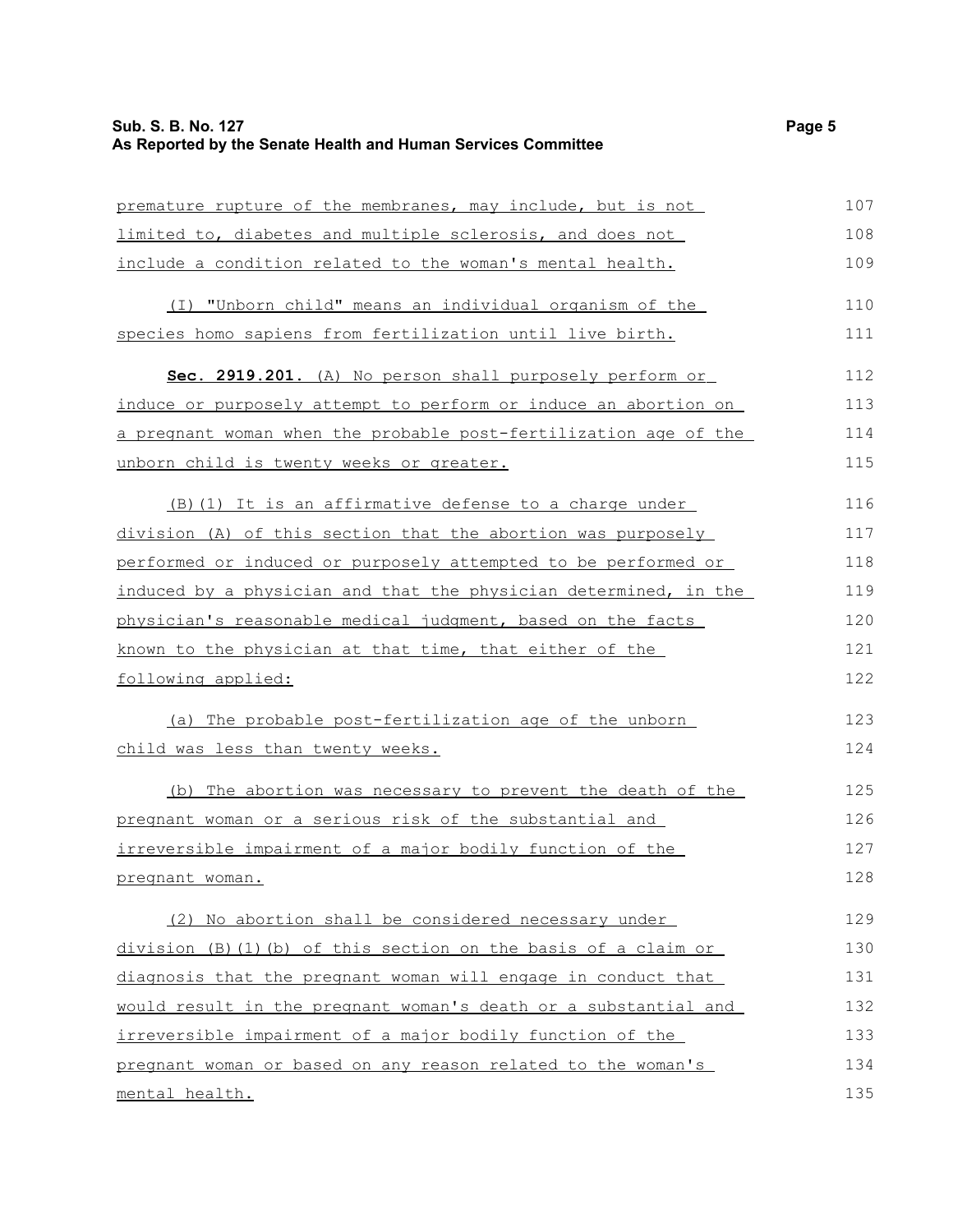# **Sub. S. B. No. 127 Page 5 As Reported by the Senate Health and Human Services Committee**

| premature rupture of the membranes, may include, but is not      | 107 |
|------------------------------------------------------------------|-----|
| limited to, diabetes and multiple sclerosis, and does not        | 108 |
| include a condition related to the woman's mental health.        | 109 |
| (I) "Unborn child" means an individual organism of the           | 110 |
| species homo sapiens from fertilization until live birth.        | 111 |
| Sec. 2919.201. (A) No person shall purposely perform or          | 112 |
| induce or purposely attempt to perform or induce an abortion on  | 113 |
| a pregnant woman when the probable post-fertilization age of the | 114 |
| unborn child is twenty weeks or greater.                         | 115 |
| (B) (1) It is an affirmative defense to a charge under           | 116 |
| division (A) of this section that the abortion was purposely     | 117 |
| performed or induced or purposely attempted to be performed or   | 118 |
| induced by a physician and that the physician determined, in the | 119 |
| physician's reasonable medical judgment, based on the facts      | 120 |
| known to the physician at that time, that either of the          | 121 |
| following applied:                                               | 122 |
| (a) The probable post-fertilization age of the unborn            | 123 |
| child was less than twenty weeks.                                | 124 |
| (b) The abortion was necessary to prevent the death of the       | 125 |
| pregnant woman or a serious risk of the substantial and          | 126 |
| irreversible impairment of a major bodily function of the        | 127 |
| pregnant woman.                                                  | 128 |
| (2) No abortion shall be considered necessary under              | 129 |
| division (B) (1) (b) of this section on the basis of a claim or  | 130 |
| diagnosis that the pregnant woman will engage in conduct that    | 131 |
| would result in the pregnant woman's death or a substantial and  | 132 |
| irreversible impairment of a major bodily function of the        | 133 |
| pregnant woman or based on any reason related to the woman's     | 134 |
| mental health.                                                   | 135 |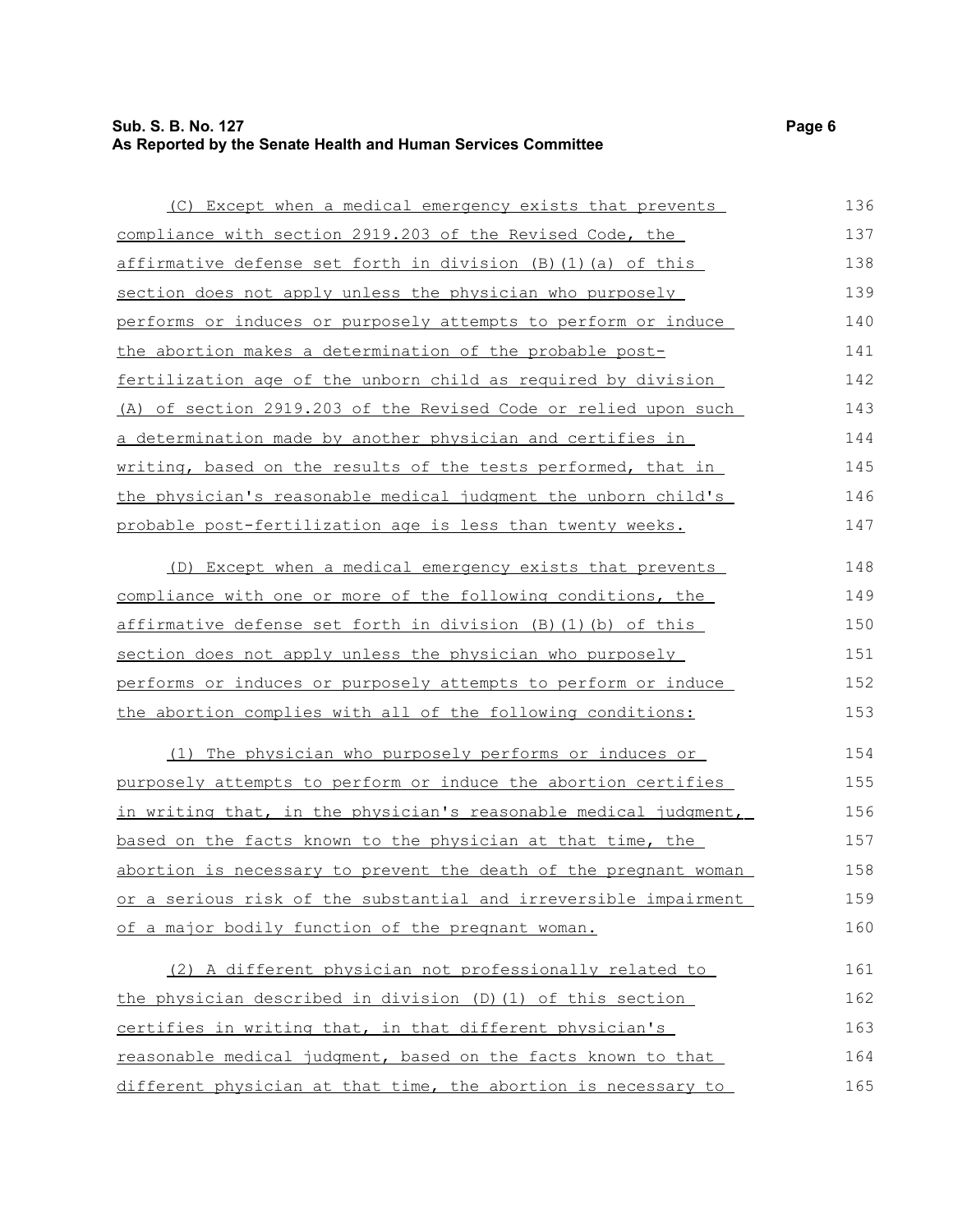# **Sub. S. B. No. 127 Page 6 As Reported by the Senate Health and Human Services Committee**

(C) Except when a medical emergency exists that prevents compliance with section 2919.203 of the Revised Code, the affirmative defense set forth in division (B)(1)(a) of this section does not apply unless the physician who purposely performs or induces or purposely attempts to perform or induce the abortion makes a determination of the probable postfertilization age of the unborn child as required by division (A) of section 2919.203 of the Revised Code or relied upon such a determination made by another physician and certifies in writing, based on the results of the tests performed, that in the physician's reasonable medical judgment the unborn child's probable post-fertilization age is less than twenty weeks. (D) Except when a medical emergency exists that prevents compliance with one or more of the following conditions, the affirmative defense set forth in division (B)(1)(b) of this section does not apply unless the physician who purposely performs or induces or purposely attempts to perform or induce the abortion complies with all of the following conditions: (1) The physician who purposely performs or induces or purposely attempts to perform or induce the abortion certifies in writing that, in the physician's reasonable medical judgment, 136 137 138 139 140 141 142 143 144 145 146 147 148 149 150 151 152 153 154 155 156

based on the facts known to the physician at that time, the abortion is necessary to prevent the death of the pregnant woman or a serious risk of the substantial and irreversible impairment of a major bodily function of the pregnant woman. 157 158 159 160

(2) A different physician not professionally related to the physician described in division (D)(1) of this section certifies in writing that, in that different physician's reasonable medical judgment, based on the facts known to that different physician at that time, the abortion is necessary to 161 162 163 164 165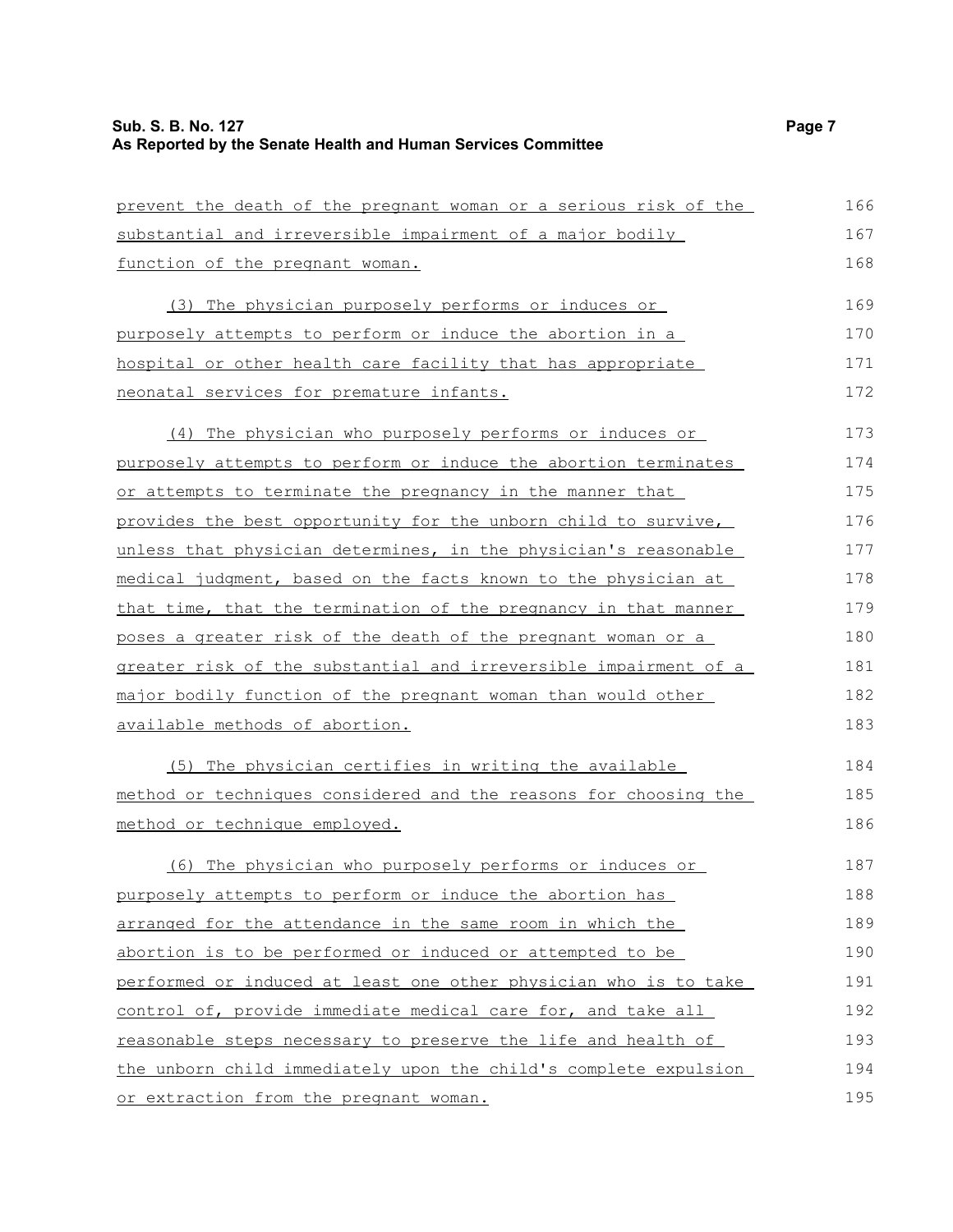| prevent the death of the pregnant woman or a serious risk of the | 166 |
|------------------------------------------------------------------|-----|
| substantial and irreversible impairment of a major bodily        | 167 |
| function of the pregnant woman.                                  | 168 |
| (3) The physician purposely performs or induces or               | 169 |
| purposely attempts to perform or induce the abortion in a        | 170 |
| hospital or other health care facility that has appropriate      | 171 |
| neonatal services for premature infants.                         | 172 |
| (4) The physician who purposely performs or induces or           | 173 |
| purposely attempts to perform or induce the abortion terminates  | 174 |
| or attempts to terminate the pregnancy in the manner that        | 175 |
| provides the best opportunity for the unborn child to survive,   | 176 |
| unless that physician determines, in the physician's reasonable  | 177 |
| medical judgment, based on the facts known to the physician at   | 178 |
| that time, that the termination of the pregnancy in that manner  | 179 |
| poses a greater risk of the death of the pregnant woman or a     | 180 |
| greater risk of the substantial and irreversible impairment of a | 181 |
| major bodily function of the pregnant woman than would other     | 182 |
| available methods of abortion.                                   | 183 |
| (5) The physician certifies in writing the available             | 184 |
| method or techniques considered and the reasons for choosing the | 185 |
| method or technique employed.                                    | 186 |
| (6) The physician who purposely performs or induces or           | 187 |
| purposely attempts to perform or induce the abortion has         | 188 |
| arranged for the attendance in the same room in which the        | 189 |
| abortion is to be performed or induced or attempted to be        | 190 |
| performed or induced at least one other physician who is to take | 191 |
| control of, provide immediate medical care for, and take all     | 192 |
| reasonable steps necessary to preserve the life and health of    | 193 |
| the unborn child immediately upon the child's complete expulsion | 194 |
| or extraction from the pregnant woman.                           | 195 |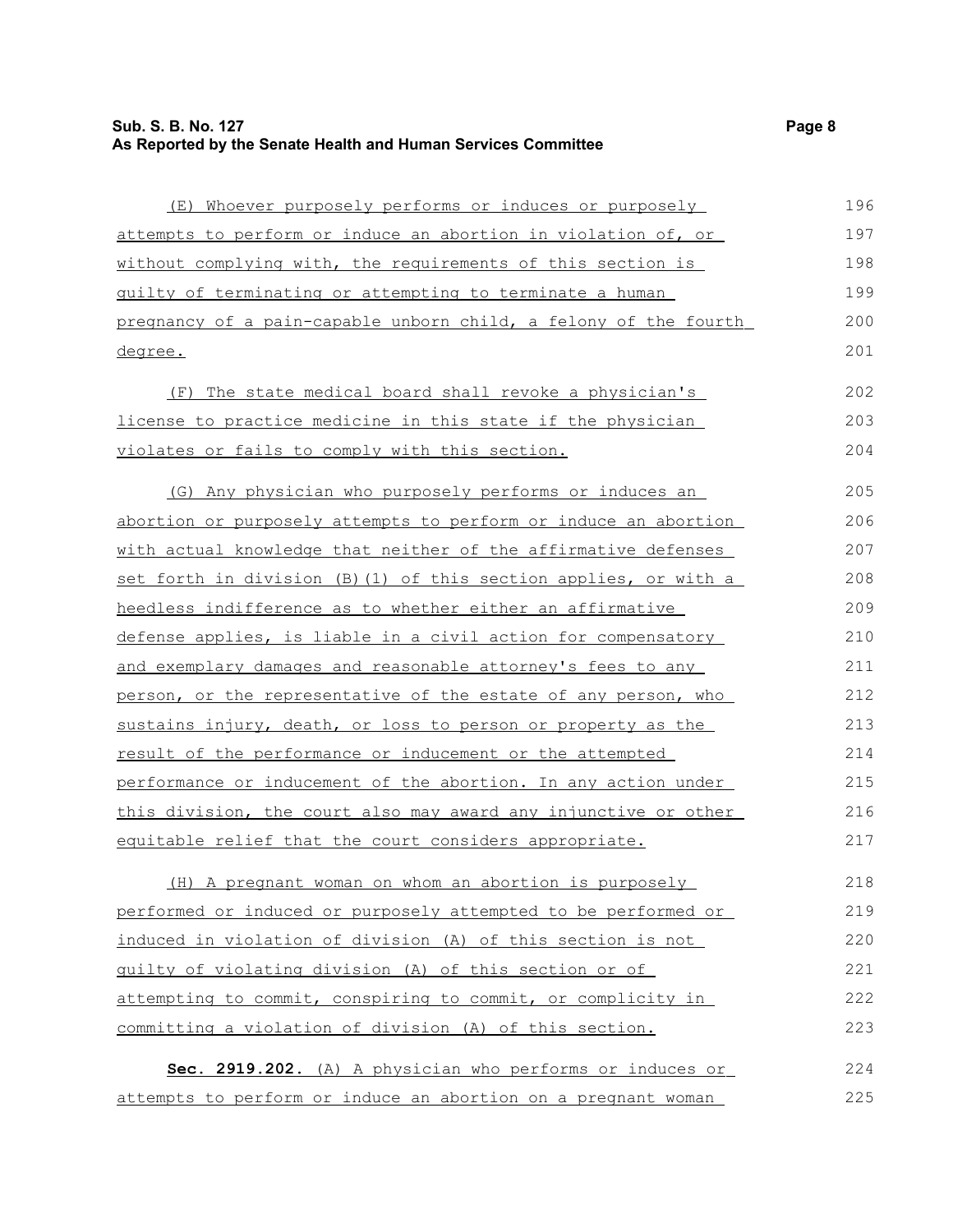(E) Whoever purposely performs or induces or purposely attempts to perform or induce an abortion in violation of, or without complying with, the requirements of this section is guilty of terminating or attempting to terminate a human pregnancy of a pain- capable unborn child, a felony of the fourth degree. (F) The state medical board shall revoke a physician's license to practice medicine in this state if the physician violates or fails to comply with this section. (G) Any physician who purposely performs or induces an abortion or purposely attempts to perform or induce an abortion with actual knowledge that neither of the affirmative defenses set forth in division (B)(1) of this section applies, or with a heedless indifference as to whether either an affirmative defense applies, is liable in a civil action for compensatory and exemplary damages and reasonable attorney's fees to any person, or the representative of the estate of any person, who sustains injury, death, or loss to person or property as the result of the performance or inducement or the attempted performance or inducement of the abortion. In any action under this division, the court also may award any injunctive or other equitable relief that the court considers appropriate. (H) A pregnant woman on whom an abortion is purposely performed or induced or purposely attempted to be performed or induced in violation of division (A) of this section is not guilty of violating division (A) of this section or of attempting to commit, conspiring to commit, or complicity in 196 197 198 199 200 201 202 203 204 205 206 207 208 209 210 211 212 213 214 215 216 217 218 219 220 221 222

 **Sec. 2919.202.** (A) A physician who performs or induces or attempts to perform or induce an abortion on a pregnant woman 224 225

committing a violation of division (A) of this section.

223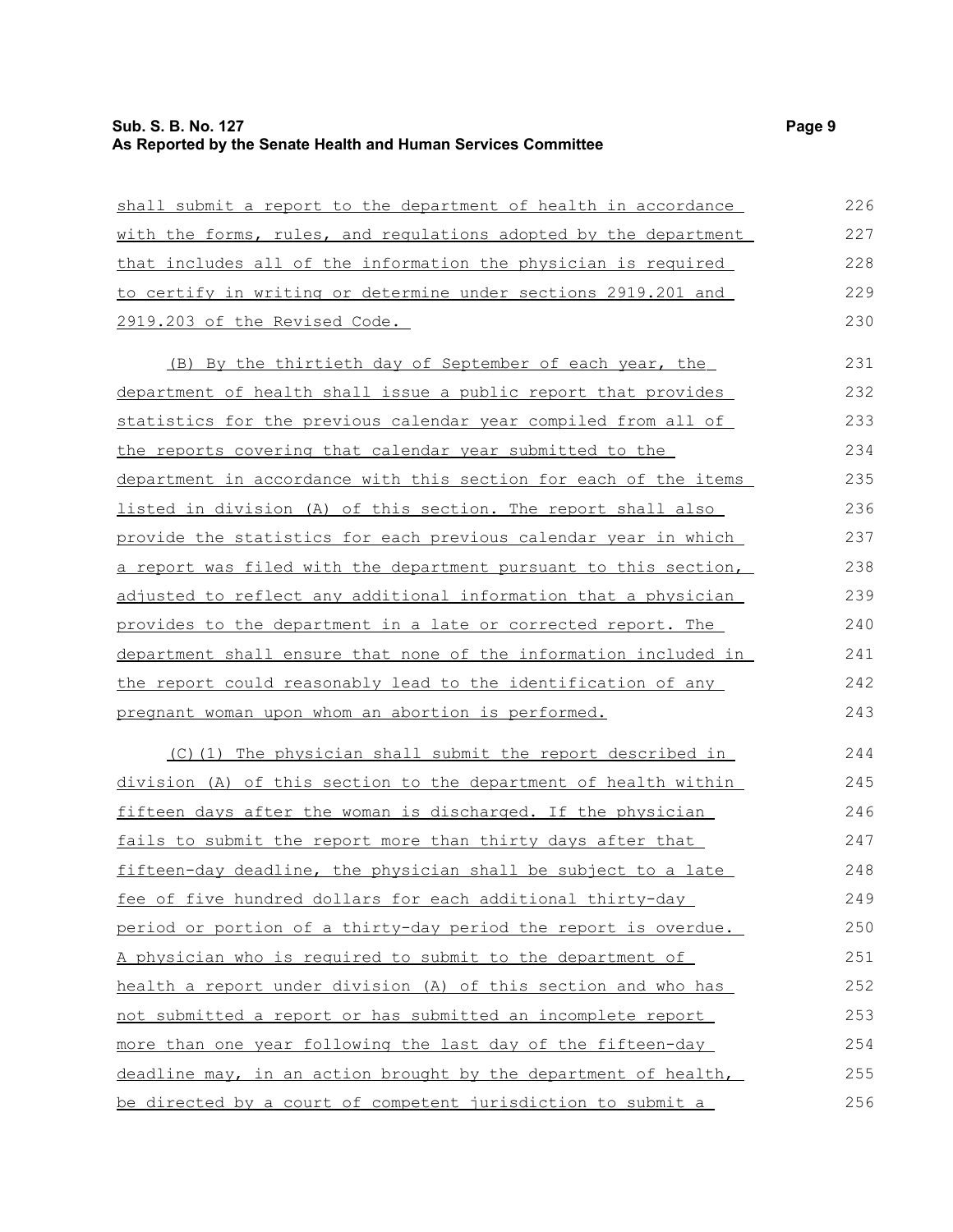| shall submit a report to the department of health in accordance  | 226 |
|------------------------------------------------------------------|-----|
| with the forms, rules, and regulations adopted by the department | 227 |
| that includes all of the information the physician is required   | 228 |
| to certify in writing or determine under sections 2919.201 and   | 229 |
| 2919.203 of the Revised Code.                                    | 230 |
| (B) By the thirtieth day of September of each year, the          | 231 |
| department of health shall issue a public report that provides   | 232 |
| statistics for the previous calendar year compiled from all of   | 233 |
| the reports covering that calendar year submitted to the         | 234 |
| department in accordance with this section for each of the items | 235 |
| listed in division (A) of this section. The report shall also    | 236 |
| provide the statistics for each previous calendar year in which  | 237 |
| a report was filed with the department pursuant to this section, | 238 |
| adjusted to reflect any additional information that a physician  | 239 |
| provides to the department in a late or corrected report. The    | 240 |
| department shall ensure that none of the information included in | 241 |
| the report could reasonably lead to the identification of any    | 242 |
| pregnant woman upon whom an abortion is performed.               | 243 |
| (C)(1) The physician shall submit the report described in        | 244 |
| division (A) of this section to the department of health within  | 245 |
| fifteen days after the woman is discharged. If the physician     | 246 |
| fails to submit the report more than thirty days after that      | 247 |
| fifteen-day deadline, the physician shall be subject to a late   | 248 |
| fee of five hundred dollars for each additional thirty-day       | 249 |
| period or portion of a thirty-day period the report is overdue.  | 250 |
| A physician who is required to submit to the department of       | 251 |

health a report under division (A) of this section and who has

deadline may, in an action brought by the department of health,

not submitted a report or has submitted an incomplete report more than one year following the last day of the fifteen-day

be directed by a court of competent jurisdiction to submit a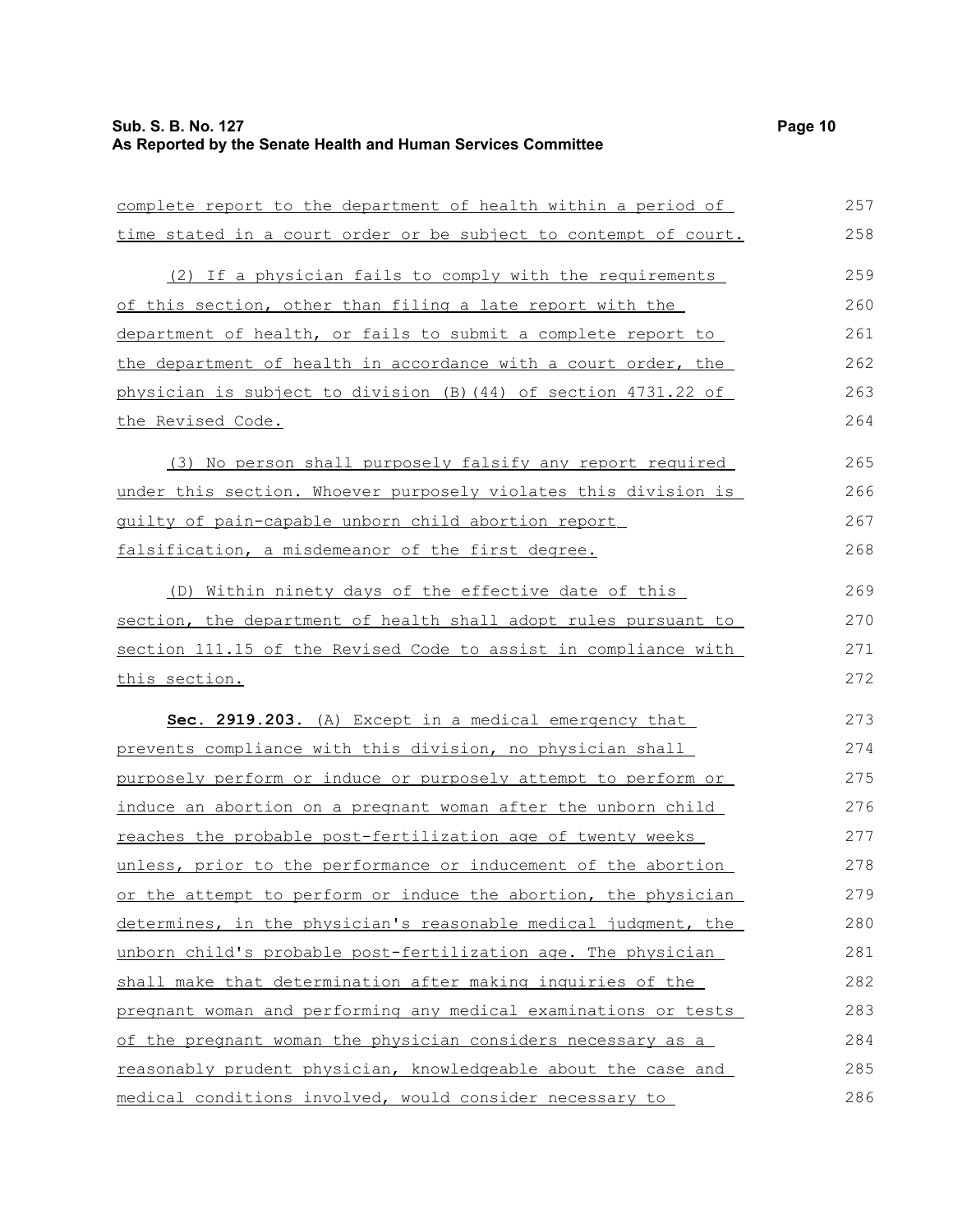| complete report to the department of health within a period of         | 257 |
|------------------------------------------------------------------------|-----|
| time stated in a court order or be subject to contempt of court.       | 258 |
| (2) If a physician fails to comply with the requirements               | 259 |
| of this section, other than filing a late report with the              | 260 |
| department of health, or fails to submit a complete report to          | 261 |
| the department of health in accordance with a court order, the         | 262 |
| physician is subject to division (B) (44) of section 4731.22 of        | 263 |
| the Revised Code.                                                      | 264 |
| (3) No person shall purposely falsify any report required              | 265 |
| under this section. Whoever purposely violates this division is        | 266 |
| guilty of pain-capable unborn child abortion report                    | 267 |
| falsification, a misdemeanor of the first degree.                      | 268 |
| (D) Within ninety days of the effective date of this                   | 269 |
| section, the department of health shall adopt rules pursuant to        | 270 |
| section 111.15 of the Revised Code to assist in compliance with        | 271 |
| this section.                                                          | 272 |
| Sec. 2919.203. (A) Except in a medical emergency that                  | 273 |
| prevents compliance with this division, no physician shall             | 274 |
| purposely perform or induce or purposely attempt to perform or         | 275 |
| induce an abortion on a pregnant woman after the unborn child          | 276 |
| reaches the probable post-fertilization age of twenty weeks            | 277 |
| unless, prior to the performance or inducement of the abortion         | 278 |
| <u>or the attempt to perform or induce the abortion, the physician</u> | 279 |
| determines, in the physician's reasonable medical judgment, the        | 280 |
| unborn child's probable post-fertilization age. The physician          | 281 |
| shall make that determination after making inquiries of the            | 282 |
| pregnant woman and performing any medical examinations or tests        | 283 |
| of the pregnant woman the physician considers necessary as a           | 284 |
| reasonably prudent physician, knowledgeable about the case and         | 285 |
| medical conditions involved, would consider necessary to               | 286 |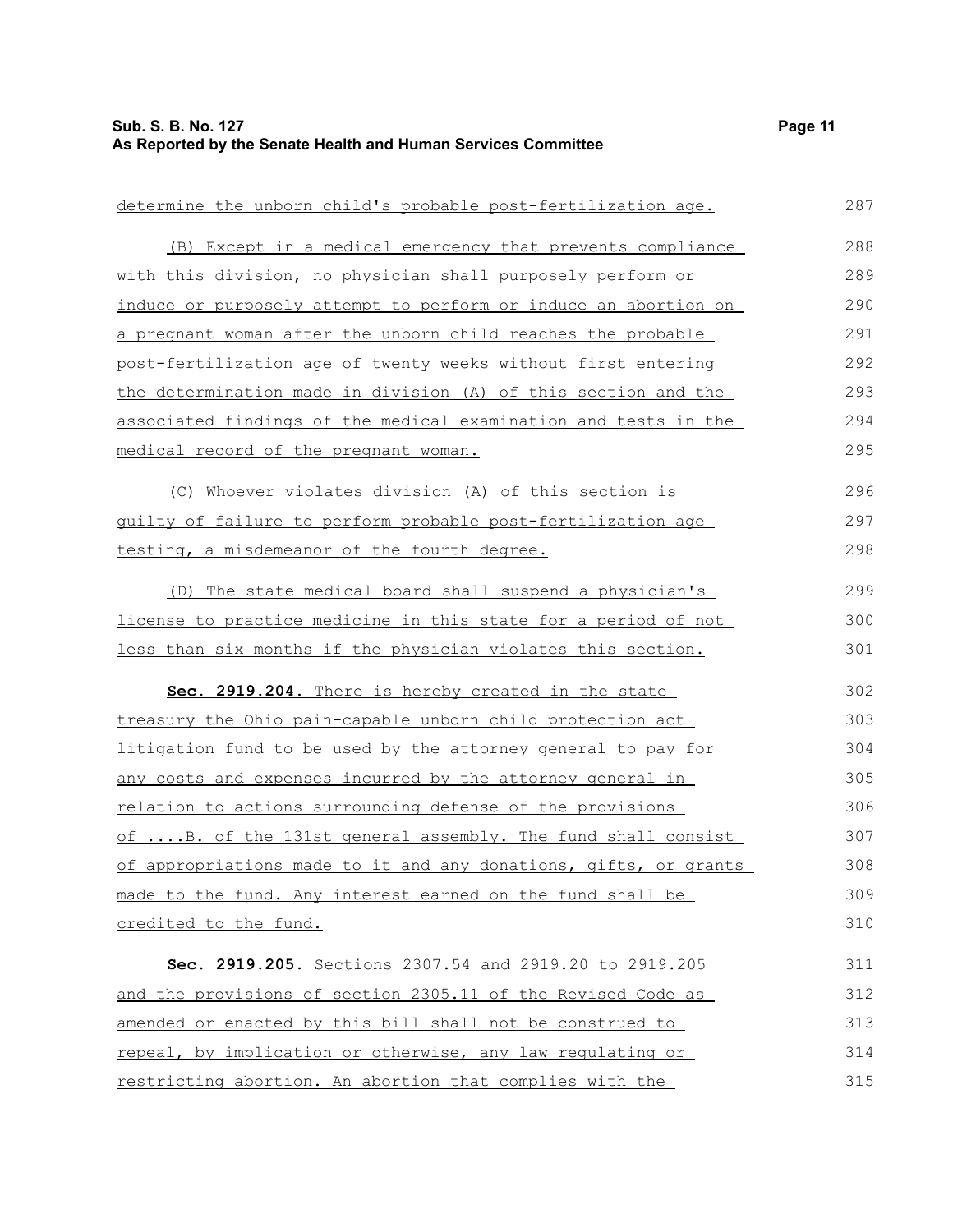| determine the unborn child's probable post-fertilization age.     | 287 |
|-------------------------------------------------------------------|-----|
| (B) Except in a medical emergency that prevents compliance        | 288 |
| with this division, no physician shall purposely perform or       | 289 |
| induce or purposely attempt to perform or induce an abortion on   | 290 |
| a pregnant woman after the unborn child reaches the probable      | 291 |
| post-fertilization age of twenty weeks without first entering     | 292 |
| the determination made in division (A) of this section and the    | 293 |
| associated findings of the medical examination and tests in the   | 294 |
| medical record of the pregnant woman.                             | 295 |
| (C) Whoever violates division (A) of this section is              | 296 |
| guilty of failure to perform probable post-fertilization age      | 297 |
| testing, a misdemeanor of the fourth degree.                      | 298 |
| (D) The state medical board shall suspend a physician's           | 299 |
| license to practice medicine in this state for a period of not    | 300 |
| less than six months if the physician violates this section.      | 301 |
| Sec. 2919.204. There is hereby created in the state               | 302 |
| treasury the Ohio pain-capable unborn child protection act        | 303 |
| litigation fund to be used by the attorney general to pay for     | 304 |
| <u>any costs and expenses incurred by the attorney general in</u> | 305 |
| relation to actions surrounding defense of the provisions         | 306 |
| of B. of the 131st general assembly. The fund shall consist       | 307 |
| of appropriations made to it and any donations, gifts, or grants  | 308 |
| made to the fund. Any interest earned on the fund shall be        | 309 |
| credited to the fund.                                             | 310 |
| Sec. 2919.205. Sections 2307.54 and 2919.20 to 2919.205           | 311 |
| and the provisions of section 2305.11 of the Revised Code as      | 312 |
| amended or enacted by this bill shall not be construed to         | 313 |
| repeal, by implication or otherwise, any law regulating or        | 314 |
| restricting abortion. An abortion that complies with the          | 315 |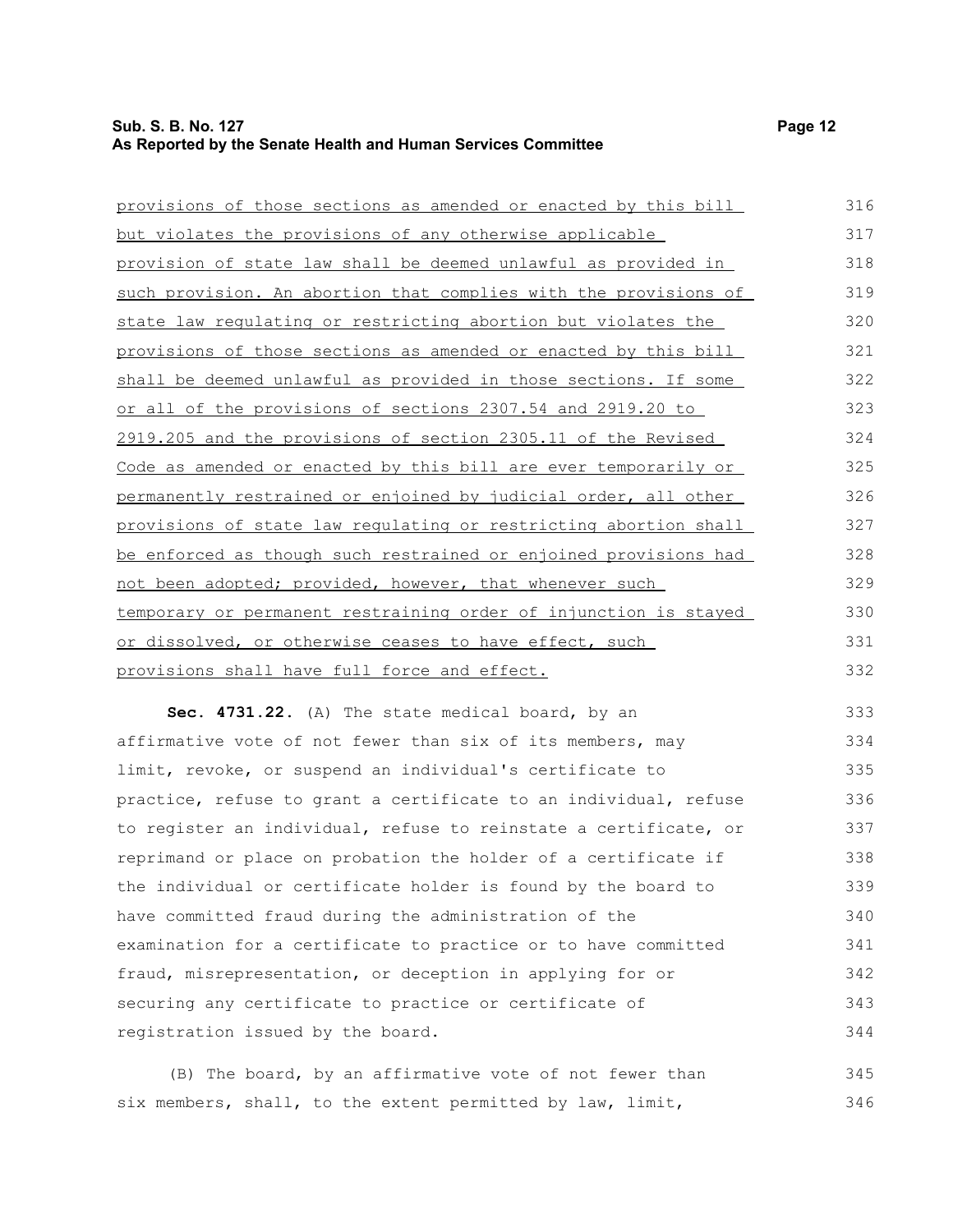# **Sub. S. B. No. 127 Page 12 As Reported by the Senate Health and Human Services Committee**

344

| provisions of those sections as amended or enacted by this bill  | 316 |
|------------------------------------------------------------------|-----|
| <u>but violates the provisions of any otherwise applicable</u>   | 317 |
| provision of state law shall be deemed unlawful as provided in   | 318 |
| such provision. An abortion that complies with the provisions of | 319 |
| state law regulating or restricting abortion but violates the    | 320 |
| provisions of those sections as amended or enacted by this bill  | 321 |
| shall be deemed unlawful as provided in those sections. If some  | 322 |
| or all of the provisions of sections 2307.54 and 2919.20 to      | 323 |
| 2919.205 and the provisions of section 2305.11 of the Revised    | 324 |
| Code as amended or enacted by this bill are ever temporarily or  | 325 |
| permanently restrained or enjoined by judicial order, all other  | 326 |
| provisions of state law regulating or restricting abortion shall | 327 |
| be enforced as though such restrained or enjoined provisions had | 328 |
| not been adopted; provided, however, that whenever such          | 329 |
| temporary or permanent restraining order of injunction is stayed | 330 |
| or dissolved, or otherwise ceases to have effect, such           | 331 |
| provisions shall have full force and effect.                     | 332 |
| Sec. 4731.22. (A) The state medical board, by an                 | 333 |
| affirmative vote of not fewer than six of its members, may       | 334 |
| limit, revoke, or suspend an individual's certificate to         | 335 |
| practice, refuse to grant a certificate to an individual, refuse | 336 |
| to register an individual, refuse to reinstate a certificate, or | 337 |
| reprimand or place on probation the holder of a certificate if   | 338 |
| the individual or certificate holder is found by the board to    | 339 |
| have committed fraud during the administration of the            | 340 |
| examination for a certificate to practice or to have committed   | 341 |
| fraud, misrepresentation, or deception in applying for or        | 342 |
| securing any certificate to practice or certificate of           | 343 |

registration issued by the board.

(B) The board, by an affirmative vote of not fewer than six members, shall, to the extent permitted by law, limit, 345 346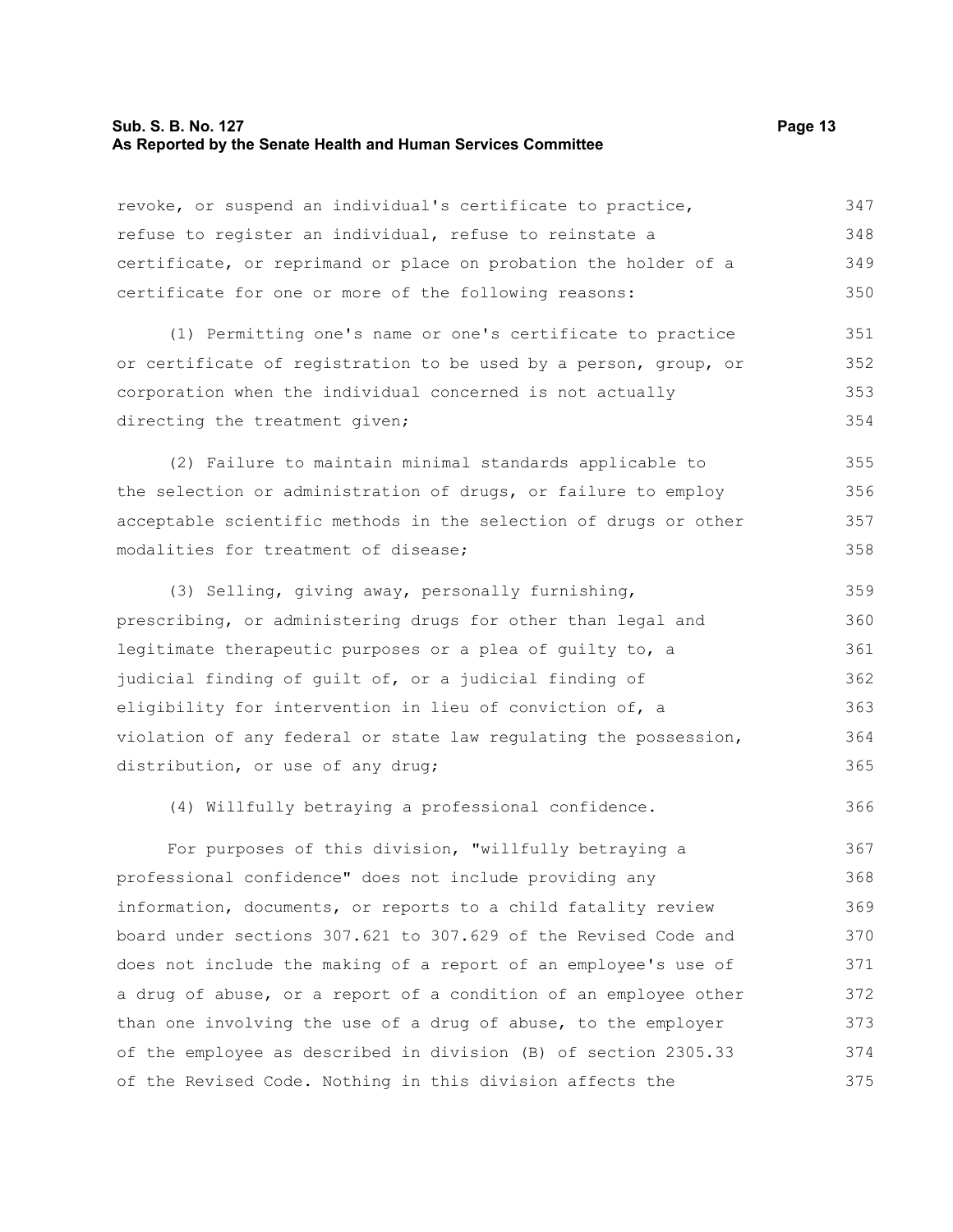# **Sub. S. B. No. 127 Page 13 As Reported by the Senate Health and Human Services Committee**

| revoke, or suspend an individual's certificate to practice,      | 347 |
|------------------------------------------------------------------|-----|
| refuse to register an individual, refuse to reinstate a          | 348 |
| certificate, or reprimand or place on probation the holder of a  | 349 |
| certificate for one or more of the following reasons:            | 350 |
| (1) Permitting one's name or one's certificate to practice       | 351 |
| or certificate of registration to be used by a person, group, or | 352 |
| corporation when the individual concerned is not actually        | 353 |
| directing the treatment given;                                   | 354 |
| (2) Failure to maintain minimal standards applicable to          | 355 |
| the selection or administration of drugs, or failure to employ   | 356 |
| acceptable scientific methods in the selection of drugs or other | 357 |
| modalities for treatment of disease;                             | 358 |
| (3) Selling, giving away, personally furnishing,                 | 359 |
| prescribing, or administering drugs for other than legal and     | 360 |
| legitimate therapeutic purposes or a plea of guilty to, a        | 361 |
| judicial finding of guilt of, or a judicial finding of           | 362 |
| eligibility for intervention in lieu of conviction of, a         | 363 |
| violation of any federal or state law regulating the possession, | 364 |
| distribution, or use of any drug;                                | 365 |
| (4) Willfully betraying a professional confidence.               | 366 |
| For purposes of this division, "willfully betraying a            | 367 |
| professional confidence" does not include providing any          | 368 |
| information, documents, or reports to a child fatality review    | 369 |
| board under sections 307.621 to 307.629 of the Revised Code and  | 370 |
| does not include the making of a report of an employee's use of  | 371 |
| a drug of abuse, or a report of a condition of an employee other | 372 |
| than one involving the use of a drug of abuse, to the employer   | 373 |
| of the employee as described in division (B) of section 2305.33  | 374 |
| of the Revised Code. Nothing in this division affects the        | 375 |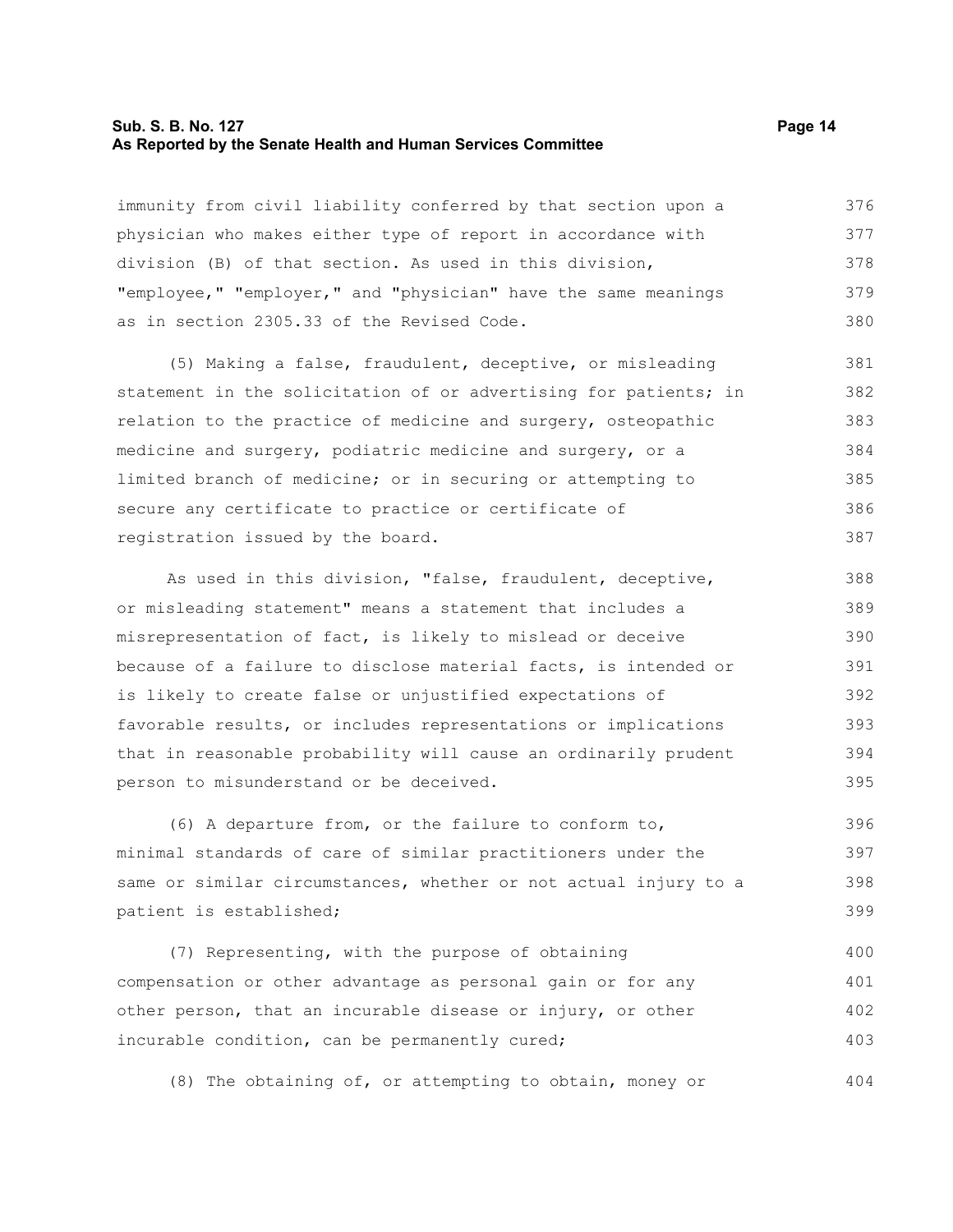#### **Sub. S. B. No. 127 Page 14 As Reported by the Senate Health and Human Services Committee**

immunity from civil liability conferred by that section upon a physician who makes either type of report in accordance with division (B) of that section. As used in this division, "employee," "employer," and "physician" have the same meanings as in section 2305.33 of the Revised Code. 376 377 378 379 380

(5) Making a false, fraudulent, deceptive, or misleading statement in the solicitation of or advertising for patients; in relation to the practice of medicine and surgery, osteopathic medicine and surgery, podiatric medicine and surgery, or a limited branch of medicine; or in securing or attempting to secure any certificate to practice or certificate of registration issued by the board. 381 382 383 384 385 386 387

As used in this division, "false, fraudulent, deceptive, or misleading statement" means a statement that includes a misrepresentation of fact, is likely to mislead or deceive because of a failure to disclose material facts, is intended or is likely to create false or unjustified expectations of favorable results, or includes representations or implications that in reasonable probability will cause an ordinarily prudent person to misunderstand or be deceived. 388 389 390 391 392 393 394 395

(6) A departure from, or the failure to conform to, minimal standards of care of similar practitioners under the same or similar circumstances, whether or not actual injury to a patient is established; 396 397 398 399

(7) Representing, with the purpose of obtaining compensation or other advantage as personal gain or for any other person, that an incurable disease or injury, or other incurable condition, can be permanently cured; 400 401 402 403

(8) The obtaining of, or attempting to obtain, money or

404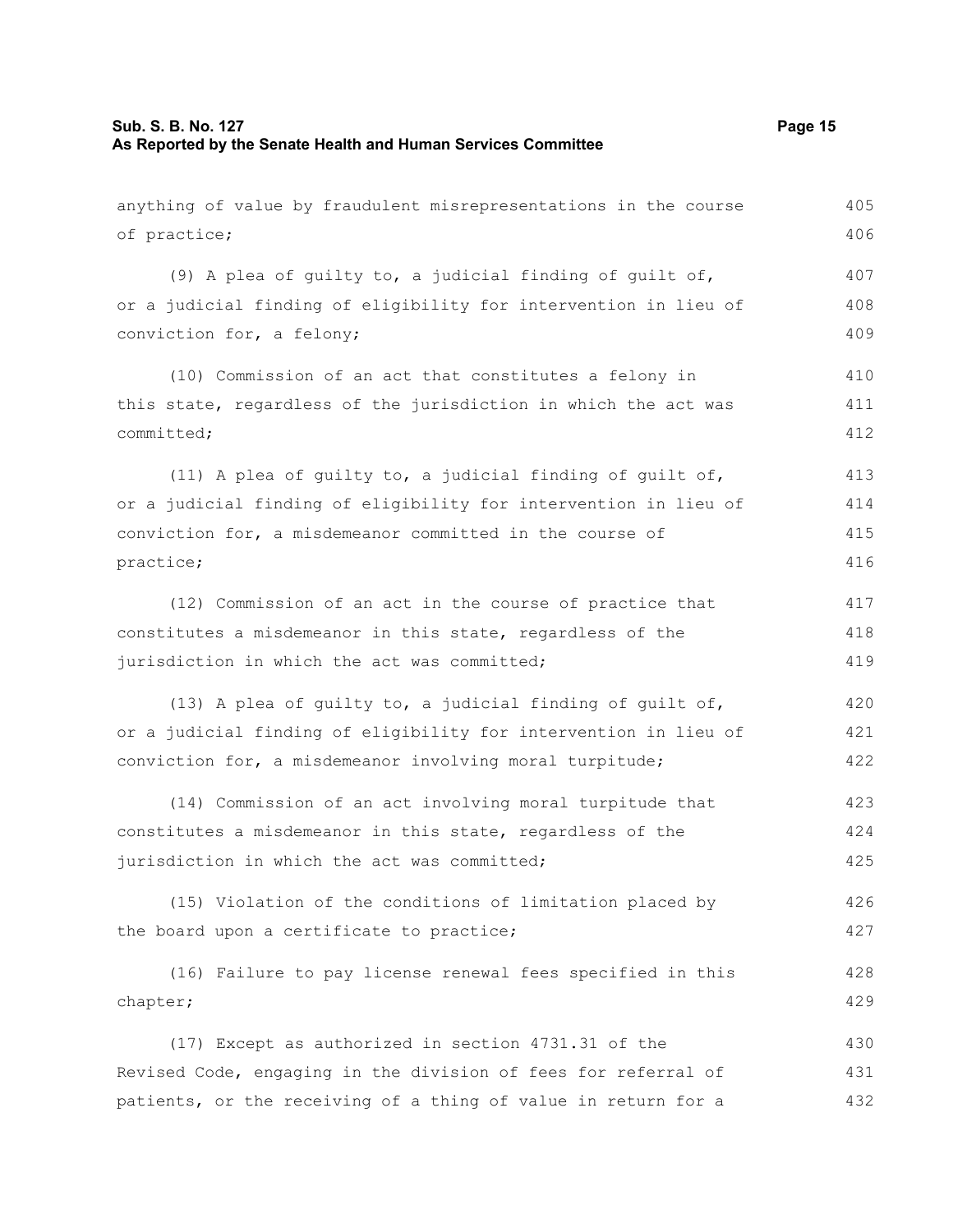| anything of value by fraudulent misrepresentations in the course | 405 |
|------------------------------------------------------------------|-----|
| of practice;                                                     | 406 |
| (9) A plea of quilty to, a judicial finding of quilt of,         | 407 |
| or a judicial finding of eligibility for intervention in lieu of | 408 |
| conviction for, a felony;                                        | 409 |
| (10) Commission of an act that constitutes a felony in           | 410 |
| this state, regardless of the jurisdiction in which the act was  | 411 |
| committed;                                                       | 412 |
| (11) A plea of guilty to, a judicial finding of guilt of,        | 413 |
| or a judicial finding of eligibility for intervention in lieu of | 414 |
| conviction for, a misdemeanor committed in the course of         | 415 |
| practice;                                                        | 416 |
| (12) Commission of an act in the course of practice that         | 417 |
| constitutes a misdemeanor in this state, regardless of the       | 418 |
| jurisdiction in which the act was committed;                     | 419 |
| (13) A plea of guilty to, a judicial finding of guilt of,        | 420 |
| or a judicial finding of eligibility for intervention in lieu of | 421 |
| conviction for, a misdemeanor involving moral turpitude;         | 422 |
| (14) Commission of an act involving moral turpitude that         | 423 |
| constitutes a misdemeanor in this state, regardless of the       | 424 |
| jurisdiction in which the act was committed;                     | 425 |
| (15) Violation of the conditions of limitation placed by         | 426 |
| the board upon a certificate to practice;                        | 427 |
| (16) Failure to pay license renewal fees specified in this       | 428 |
| chapter;                                                         | 429 |
| (17) Except as authorized in section 4731.31 of the              | 430 |
| Revised Code, engaging in the division of fees for referral of   | 431 |
| patients, or the receiving of a thing of value in return for a   | 432 |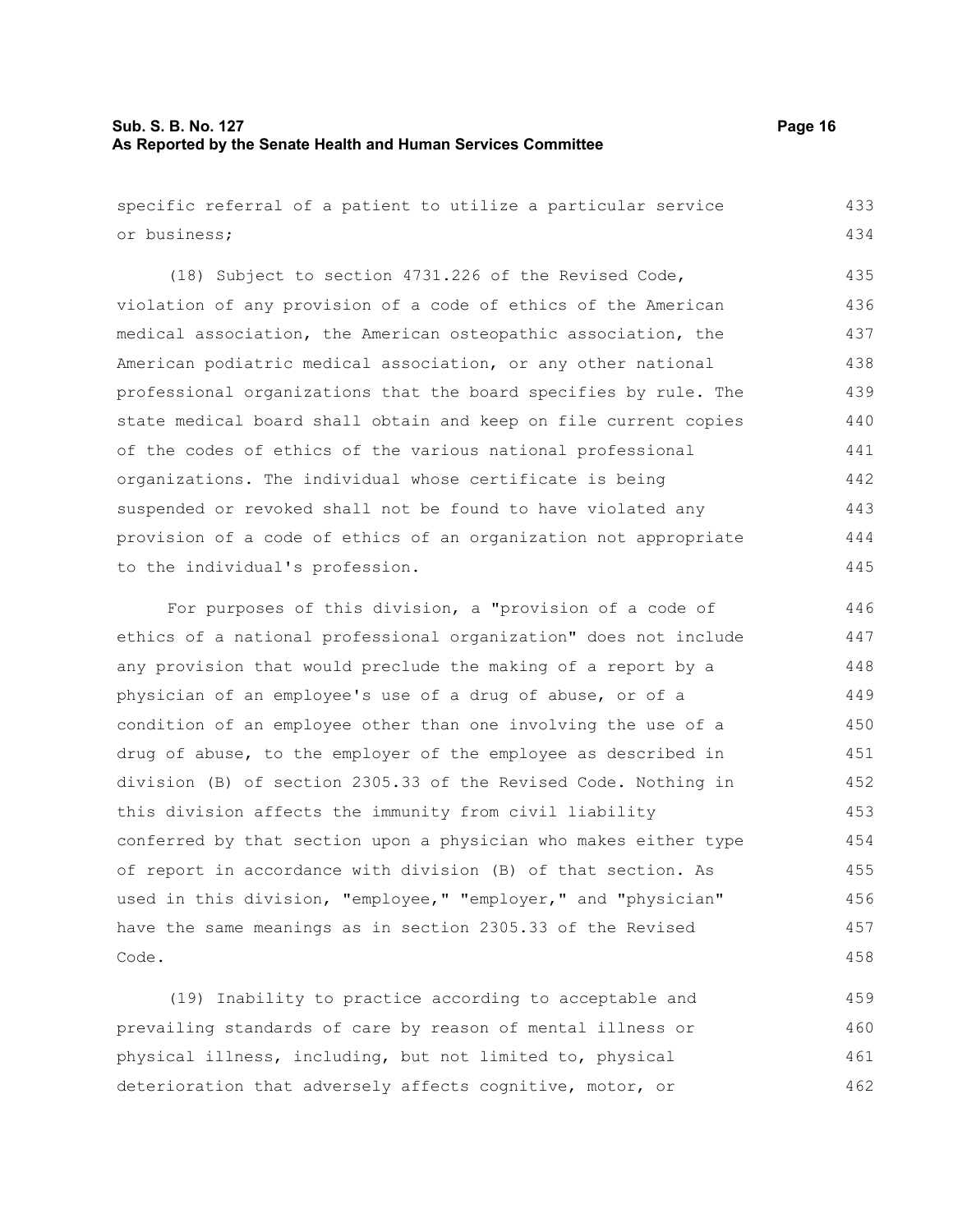# **Sub. S. B. No. 127 Page 16 As Reported by the Senate Health and Human Services Committee**

458

specific referral of a patient to utilize a particular service or business; (18) Subject to section 4731.226 of the Revised Code, violation of any provision of a code of ethics of the American medical association, the American osteopathic association, the American podiatric medical association, or any other national professional organizations that the board specifies by rule. The state medical board shall obtain and keep on file current copies of the codes of ethics of the various national professional organizations. The individual whose certificate is being suspended or revoked shall not be found to have violated any provision of a code of ethics of an organization not appropriate to the individual's profession. For purposes of this division, a "provision of a code of ethics of a national professional organization" does not include any provision that would preclude the making of a report by a physician of an employee's use of a drug of abuse, or of a condition of an employee other than one involving the use of a drug of abuse, to the employer of the employee as described in division (B) of section 2305.33 of the Revised Code. Nothing in this division affects the immunity from civil liability conferred by that section upon a physician who makes either type of report in accordance with division (B) of that section. As used in this division, "employee," "employer," and "physician" have the same meanings as in section 2305.33 of the Revised 433 434 435 436 437 438 439 440 441 442 443 444 445 446 447 448 449 450 451 452 453 454 455 456 457

(19) Inability to practice according to acceptable and prevailing standards of care by reason of mental illness or physical illness, including, but not limited to, physical deterioration that adversely affects cognitive, motor, or 459 460 461 462

Code.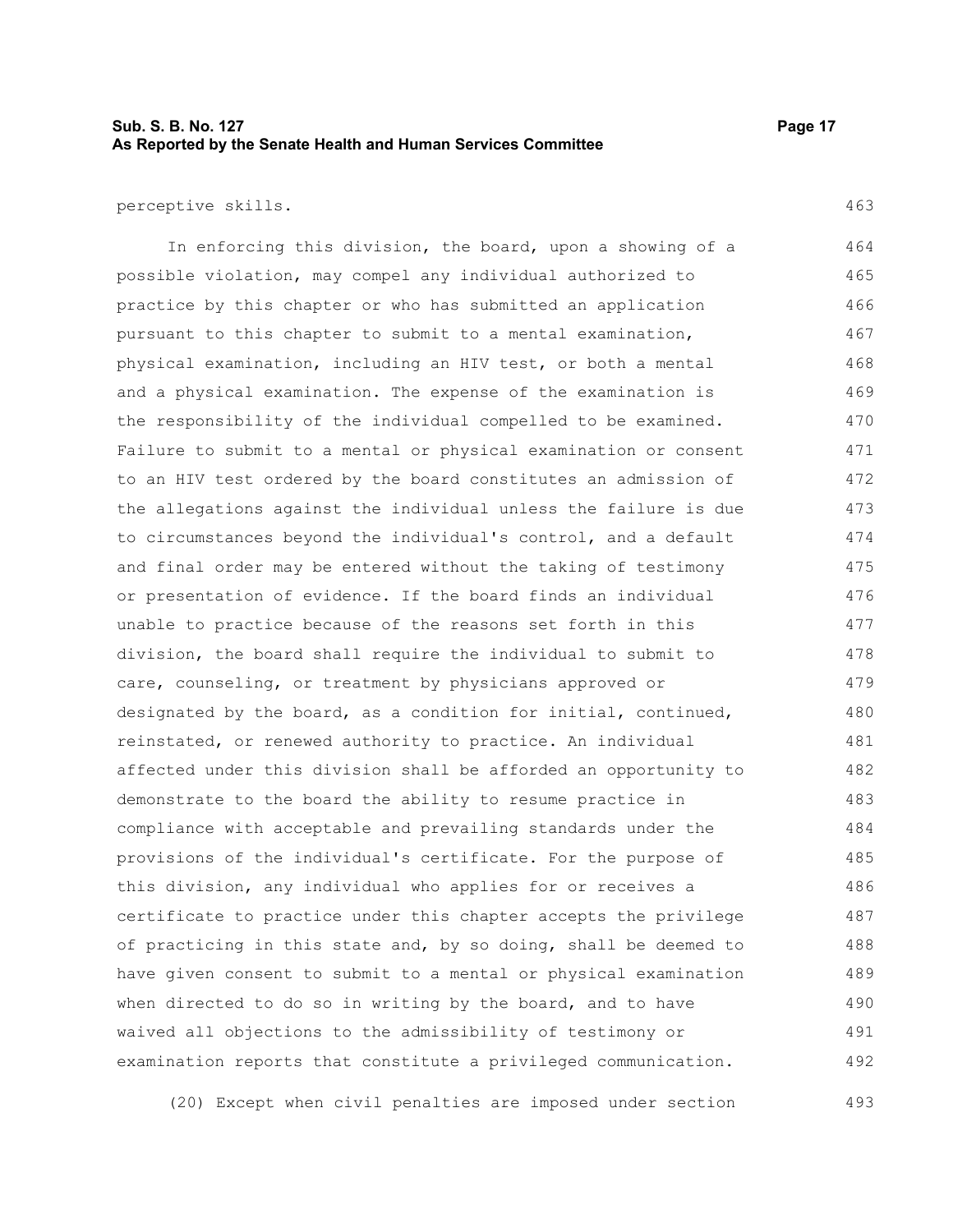# **Sub. S. B. No. 127 Page 17 As Reported by the Senate Health and Human Services Committee**

#### perceptive skills.

463

In enforcing this division, the board, upon a showing of a possible violation, may compel any individual authorized to practice by this chapter or who has submitted an application pursuant to this chapter to submit to a mental examination, physical examination, including an HIV test, or both a mental and a physical examination. The expense of the examination is the responsibility of the individual compelled to be examined. Failure to submit to a mental or physical examination or consent to an HIV test ordered by the board constitutes an admission of the allegations against the individual unless the failure is due to circumstances beyond the individual's control, and a default and final order may be entered without the taking of testimony or presentation of evidence. If the board finds an individual unable to practice because of the reasons set forth in this division, the board shall require the individual to submit to care, counseling, or treatment by physicians approved or designated by the board, as a condition for initial, continued, reinstated, or renewed authority to practice. An individual affected under this division shall be afforded an opportunity to demonstrate to the board the ability to resume practice in compliance with acceptable and prevailing standards under the provisions of the individual's certificate. For the purpose of this division, any individual who applies for or receives a certificate to practice under this chapter accepts the privilege of practicing in this state and, by so doing, shall be deemed to have given consent to submit to a mental or physical examination when directed to do so in writing by the board, and to have waived all objections to the admissibility of testimony or examination reports that constitute a privileged communication. 464 465 466 467 468 469 470 471 472 473 474 475 476 477 478 479 480 481 482 483 484 485 486 487 488 489 490 491 492

(20) Except when civil penalties are imposed under section 493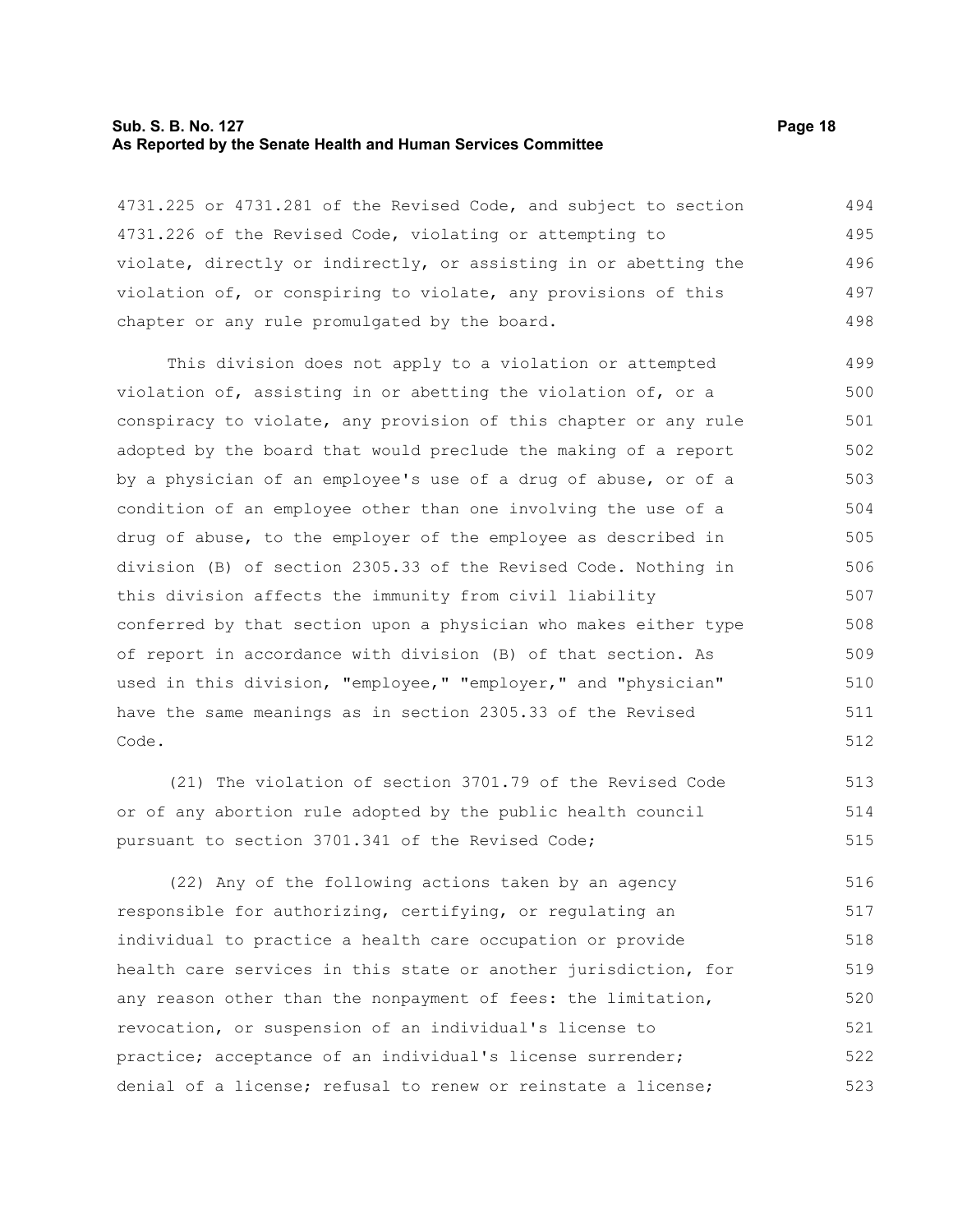#### **Sub. S. B. No. 127 Page 18 As Reported by the Senate Health and Human Services Committee**

4731.225 or 4731.281 of the Revised Code, and subject to section 4731.226 of the Revised Code, violating or attempting to violate, directly or indirectly, or assisting in or abetting the violation of, or conspiring to violate, any provisions of this chapter or any rule promulgated by the board. 494 495 496 497 498

This division does not apply to a violation or attempted violation of, assisting in or abetting the violation of, or a conspiracy to violate, any provision of this chapter or any rule adopted by the board that would preclude the making of a report by a physician of an employee's use of a drug of abuse, or of a condition of an employee other than one involving the use of a drug of abuse, to the employer of the employee as described in division (B) of section 2305.33 of the Revised Code. Nothing in this division affects the immunity from civil liability conferred by that section upon a physician who makes either type of report in accordance with division (B) of that section. As used in this division, "employee," "employer," and "physician" have the same meanings as in section 2305.33 of the Revised Code. 499 500 501 502 503 504 505 506 507 508 509 510 511 512

(21) The violation of section 3701.79 of the Revised Code or of any abortion rule adopted by the public health council pursuant to section 3701.341 of the Revised Code; 513 514 515

(22) Any of the following actions taken by an agency responsible for authorizing, certifying, or regulating an individual to practice a health care occupation or provide health care services in this state or another jurisdiction, for any reason other than the nonpayment of fees: the limitation, revocation, or suspension of an individual's license to practice; acceptance of an individual's license surrender; denial of a license; refusal to renew or reinstate a license; 516 517 518 519 520 521 522 523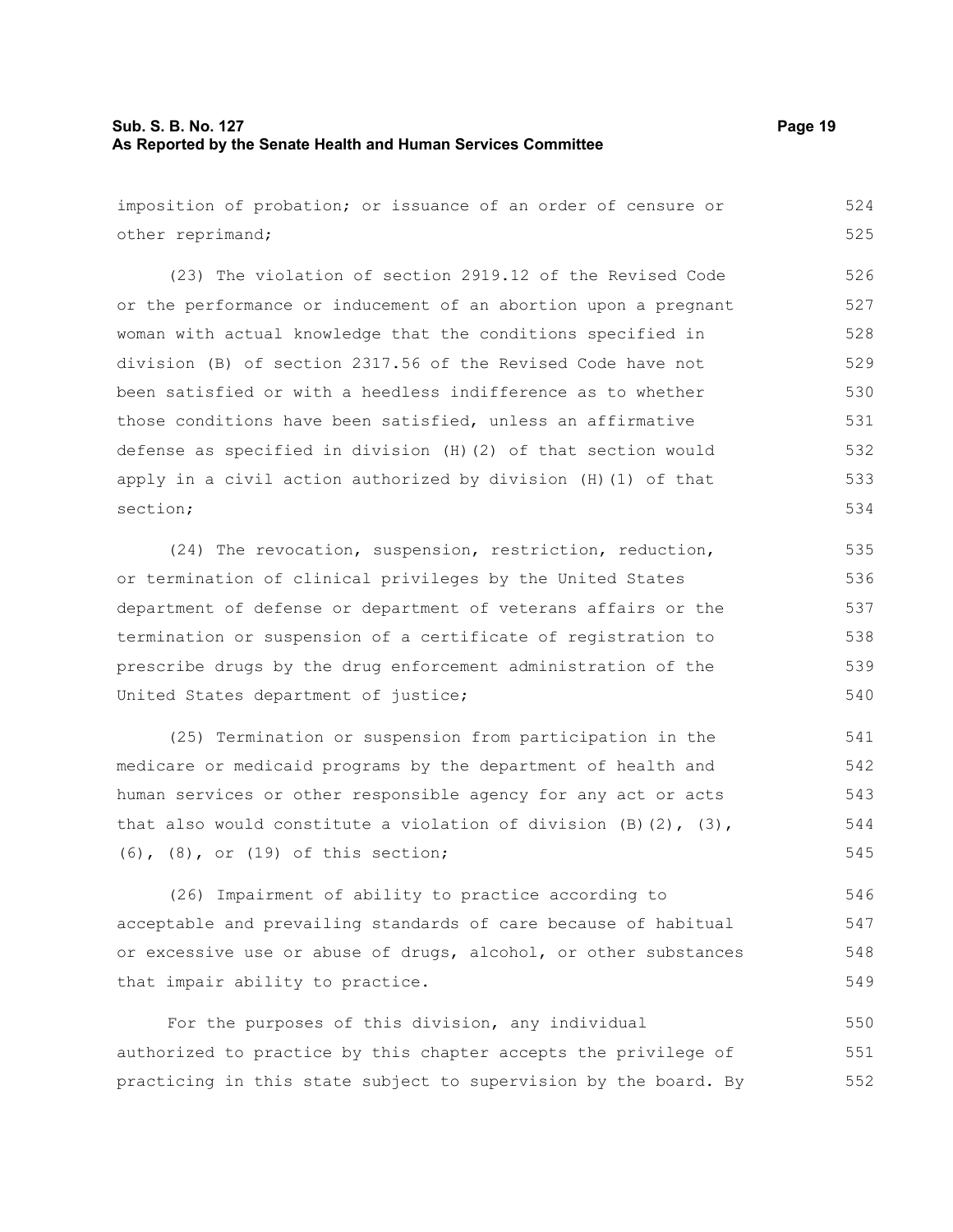# **Sub. S. B. No. 127 Page 19 As Reported by the Senate Health and Human Services Committee**

imposition of probation; or issuance of an order of censure or other reprimand; (23) The violation of section 2919.12 of the Revised Code or the performance or inducement of an abortion upon a pregnant woman with actual knowledge that the conditions specified in division (B) of section 2317.56 of the Revised Code have not been satisfied or with a heedless indifference as to whether those conditions have been satisfied, unless an affirmative defense as specified in division (H)(2) of that section would apply in a civil action authorized by division (H)(1) of that section; (24) The revocation, suspension, restriction, reduction, or termination of clinical privileges by the United States department of defense or department of veterans affairs or the termination or suspension of a certificate of registration to prescribe drugs by the drug enforcement administration of the United States department of justice; (25) Termination or suspension from participation in the medicare or medicaid programs by the department of health and 524 525 526 527 528 529 530 531 532 533 534 535 536 537 538 539 540 541 542

human services or other responsible agency for any act or acts that also would constitute a violation of division  $(B)$   $(2)$ ,  $(3)$ , (6), (8), or (19) of this section; 543 544 545

(26) Impairment of ability to practice according to acceptable and prevailing standards of care because of habitual or excessive use or abuse of drugs, alcohol, or other substances that impair ability to practice. 546 547 548 549

For the purposes of this division, any individual authorized to practice by this chapter accepts the privilege of practicing in this state subject to supervision by the board. By 550 551 552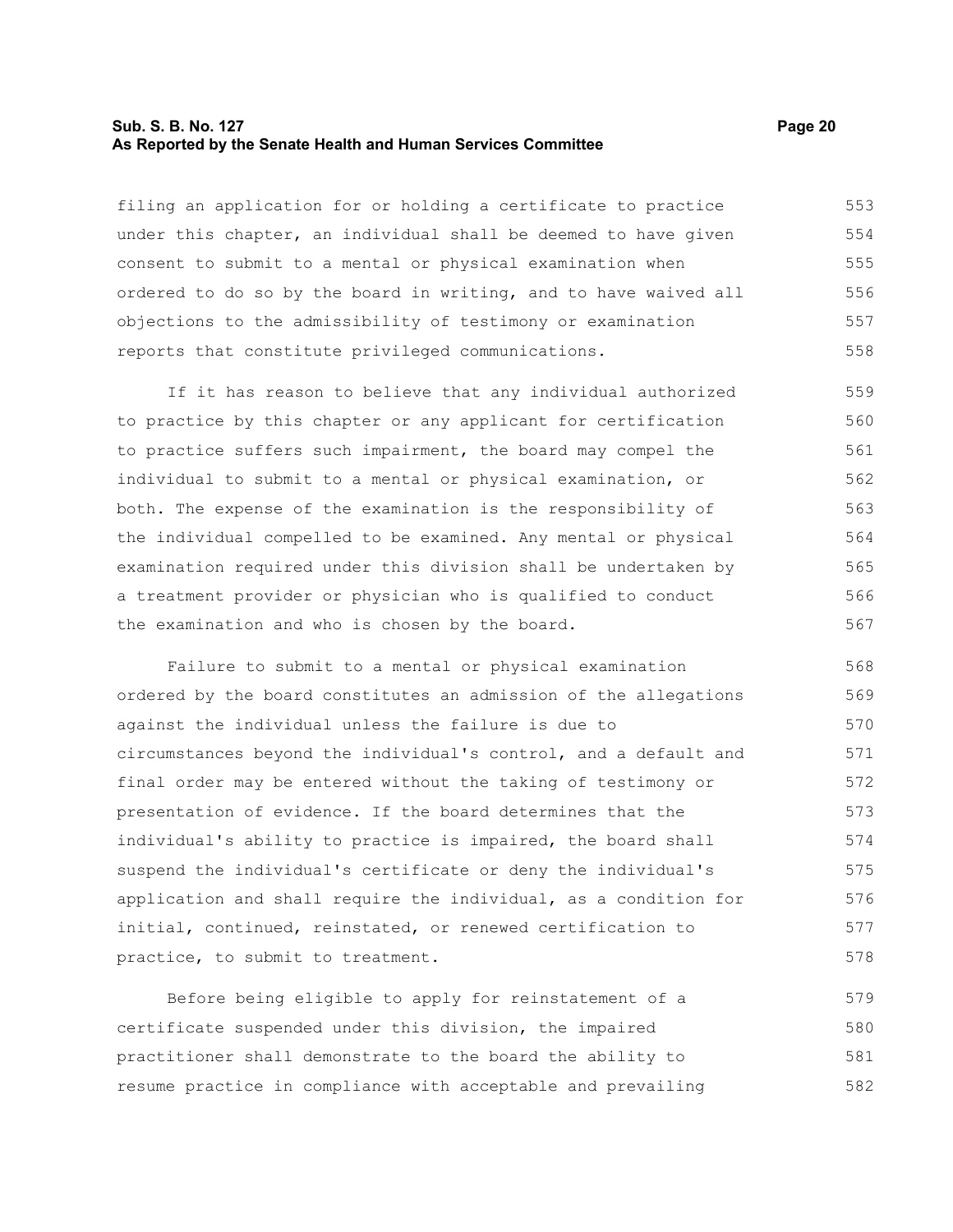#### **Sub. S. B. No. 127 Page 20 As Reported by the Senate Health and Human Services Committee**

filing an application for or holding a certificate to practice under this chapter, an individual shall be deemed to have given consent to submit to a mental or physical examination when ordered to do so by the board in writing, and to have waived all objections to the admissibility of testimony or examination reports that constitute privileged communications. 553 554 555 556 557 558

If it has reason to believe that any individual authorized to practice by this chapter or any applicant for certification to practice suffers such impairment, the board may compel the individual to submit to a mental or physical examination, or both. The expense of the examination is the responsibility of the individual compelled to be examined. Any mental or physical examination required under this division shall be undertaken by a treatment provider or physician who is qualified to conduct the examination and who is chosen by the board. 559 560 561 562 563 564 565 566 567

Failure to submit to a mental or physical examination ordered by the board constitutes an admission of the allegations against the individual unless the failure is due to circumstances beyond the individual's control, and a default and final order may be entered without the taking of testimony or presentation of evidence. If the board determines that the individual's ability to practice is impaired, the board shall suspend the individual's certificate or deny the individual's application and shall require the individual, as a condition for initial, continued, reinstated, or renewed certification to practice, to submit to treatment. 568 569 570 571 572 573 574 575 576 577 578

Before being eligible to apply for reinstatement of a certificate suspended under this division, the impaired practitioner shall demonstrate to the board the ability to resume practice in compliance with acceptable and prevailing 579 580 581 582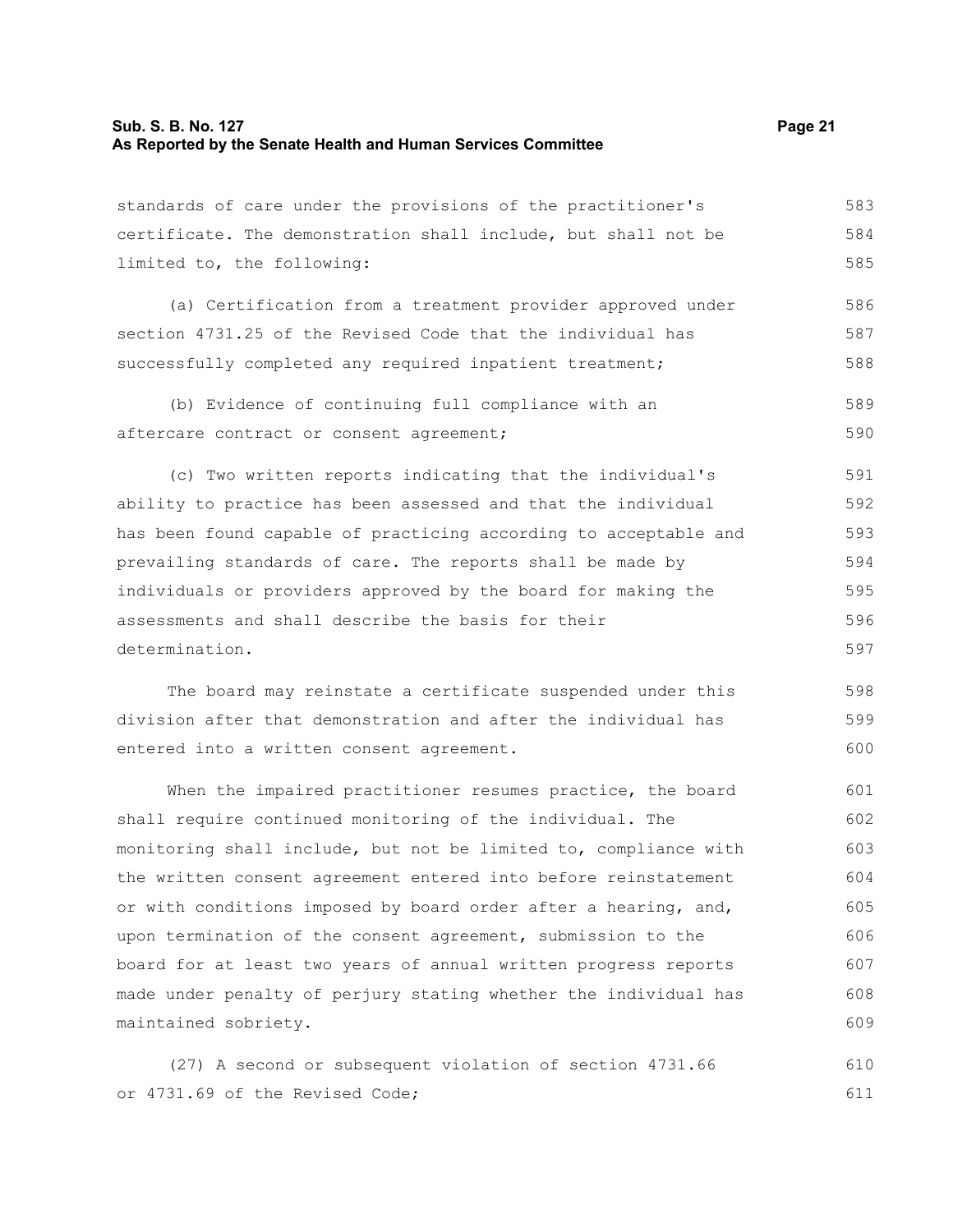# **Sub. S. B. No. 127 Page 21 As Reported by the Senate Health and Human Services Committee**

| standards of care under the provisions of the practitioner's     | 583 |
|------------------------------------------------------------------|-----|
| certificate. The demonstration shall include, but shall not be   | 584 |
| limited to, the following:                                       | 585 |
| (a) Certification from a treatment provider approved under       | 586 |
| section 4731.25 of the Revised Code that the individual has      | 587 |
| successfully completed any required inpatient treatment;         | 588 |
| (b) Evidence of continuing full compliance with an               | 589 |
| aftercare contract or consent agreement;                         | 590 |
| (c) Two written reports indicating that the individual's         | 591 |
| ability to practice has been assessed and that the individual    | 592 |
| has been found capable of practicing according to acceptable and | 593 |
| prevailing standards of care. The reports shall be made by       | 594 |
| individuals or providers approved by the board for making the    | 595 |
| assessments and shall describe the basis for their               | 596 |
| determination.                                                   | 597 |
| The board may reinstate a certificate suspended under this       | 598 |
| division after that demonstration and after the individual has   | 599 |
| entered into a written consent agreement.                        | 600 |
| When the impaired practitioner resumes practice, the board       | 601 |
| shall require continued monitoring of the individual. The        | 602 |
| monitoring shall include, but not be limited to, compliance with | 603 |
| the written consent agreement entered into before reinstatement  | 604 |
| or with conditions imposed by board order after a hearing, and,  | 605 |
| upon termination of the consent agreement, submission to the     | 606 |
| board for at least two years of annual written progress reports  | 607 |
| made under penalty of perjury stating whether the individual has | 608 |
| maintained sobriety.                                             | 609 |

(27) A second or subsequent violation of section 4731.66 or 4731.69 of the Revised Code; 610 611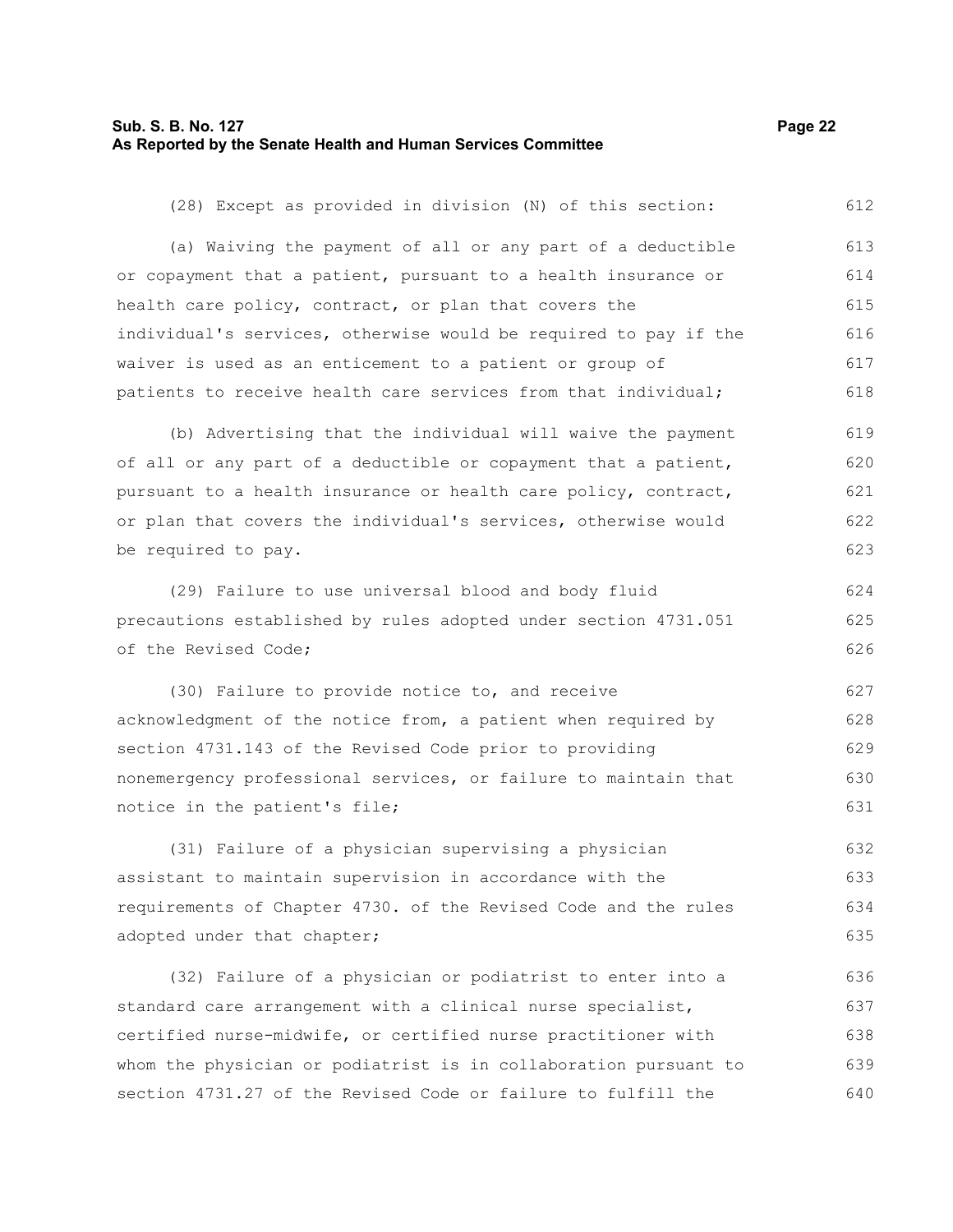# **Sub. S. B. No. 127 Page 22 As Reported by the Senate Health and Human Services Committee**

640

| (28) Except as provided in division (N) of this section:         | 612 |
|------------------------------------------------------------------|-----|
| (a) Waiving the payment of all or any part of a deductible       | 613 |
| or copayment that a patient, pursuant to a health insurance or   | 614 |
| health care policy, contract, or plan that covers the            | 615 |
| individual's services, otherwise would be required to pay if the | 616 |
| waiver is used as an enticement to a patient or group of         | 617 |
| patients to receive health care services from that individual;   | 618 |
| (b) Advertising that the individual will waive the payment       | 619 |
| of all or any part of a deductible or copayment that a patient,  | 620 |
| pursuant to a health insurance or health care policy, contract,  | 621 |
| or plan that covers the individual's services, otherwise would   | 622 |
| be required to pay.                                              | 623 |
| (29) Failure to use universal blood and body fluid               | 624 |
| precautions established by rules adopted under section 4731.051  | 625 |
| of the Revised Code;                                             | 626 |
| (30) Failure to provide notice to, and receive                   | 627 |
| acknowledgment of the notice from, a patient when required by    | 628 |
| section 4731.143 of the Revised Code prior to providing          | 629 |
| nonemergency professional services, or failure to maintain that  | 630 |
| notice in the patient's file;                                    | 631 |
| (31) Failure of a physician supervising a physician              | 632 |
| assistant to maintain supervision in accordance with the         | 633 |
| requirements of Chapter 4730. of the Revised Code and the rules  | 634 |
| adopted under that chapter;                                      | 635 |
| (32) Failure of a physician or podiatrist to enter into a        | 636 |
| standard care arrangement with a clinical nurse specialist,      | 637 |
| certified nurse-midwife, or certified nurse practitioner with    | 638 |
| whom the physician or podiatrist is in collaboration pursuant to | 639 |

section 4731.27 of the Revised Code or failure to fulfill the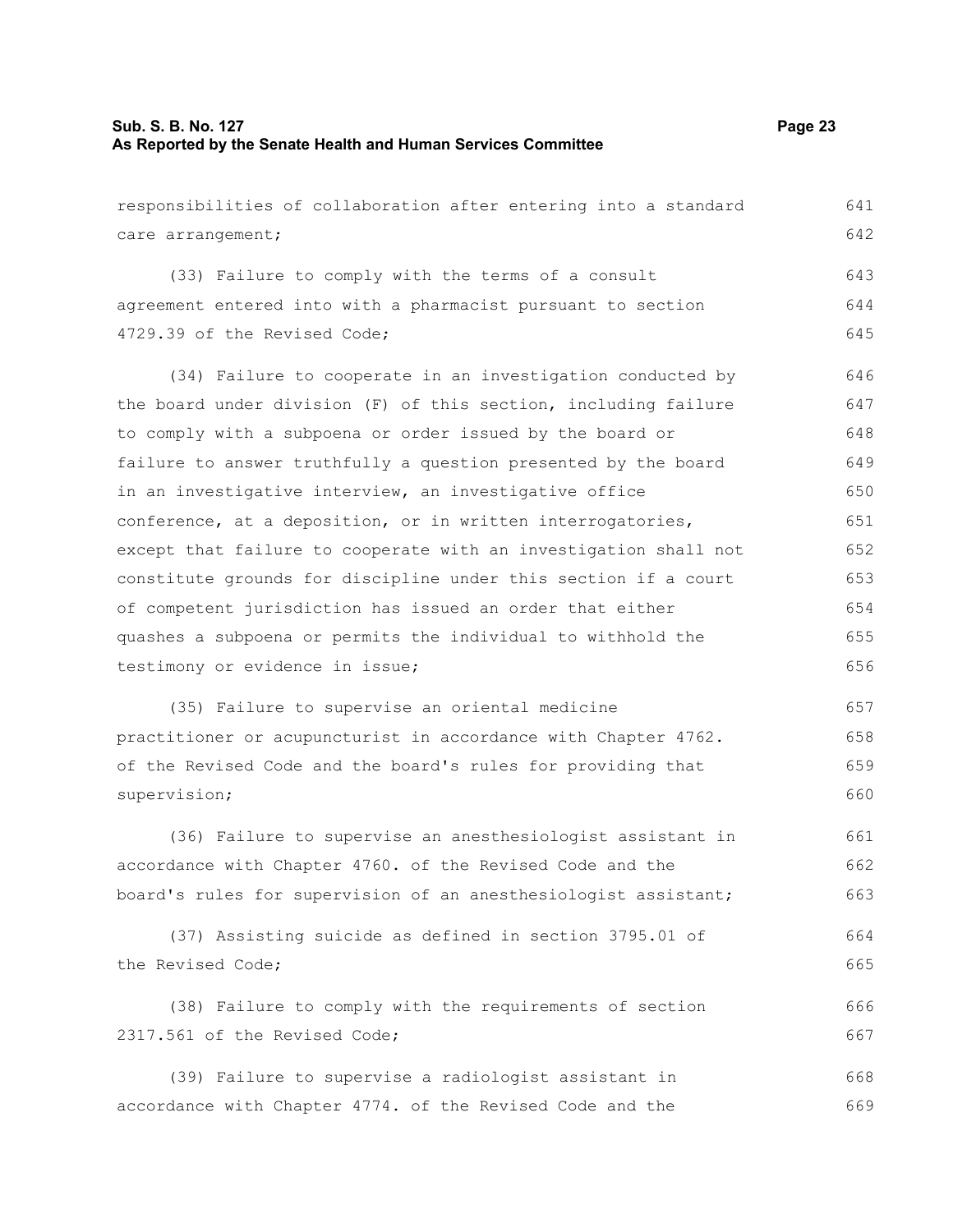| responsibilities of collaboration after entering into a standard | 641 |
|------------------------------------------------------------------|-----|
| care arrangement;                                                | 642 |
| (33) Failure to comply with the terms of a consult               | 643 |
| agreement entered into with a pharmacist pursuant to section     | 644 |
| 4729.39 of the Revised Code;                                     | 645 |
| (34) Failure to cooperate in an investigation conducted by       | 646 |
| the board under division (F) of this section, including failure  | 647 |
| to comply with a subpoena or order issued by the board or        | 648 |
| failure to answer truthfully a question presented by the board   | 649 |
| in an investigative interview, an investigative office           | 650 |
| conference, at a deposition, or in written interrogatories,      | 651 |
| except that failure to cooperate with an investigation shall not | 652 |
| constitute grounds for discipline under this section if a court  | 653 |
| of competent jurisdiction has issued an order that either        | 654 |
| quashes a subpoena or permits the individual to withhold the     | 655 |
| testimony or evidence in issue;                                  | 656 |
| (35) Failure to supervise an oriental medicine                   | 657 |
| practitioner or acupuncturist in accordance with Chapter 4762.   | 658 |
| of the Revised Code and the board's rules for providing that     | 659 |
| supervision;                                                     | 660 |
| (36) Failure to supervise an anesthesiologist assistant in       | 661 |
| accordance with Chapter 4760. of the Revised Code and the        | 662 |
| board's rules for supervision of an anesthesiologist assistant;  | 663 |
| (37) Assisting suicide as defined in section 3795.01 of          | 664 |
| the Revised Code;                                                | 665 |
| (38) Failure to comply with the requirements of section          | 666 |
| 2317.561 of the Revised Code;                                    | 667 |
| (39) Failure to supervise a radiologist assistant in             | 668 |
| accordance with Chapter 4774. of the Revised Code and the        | 669 |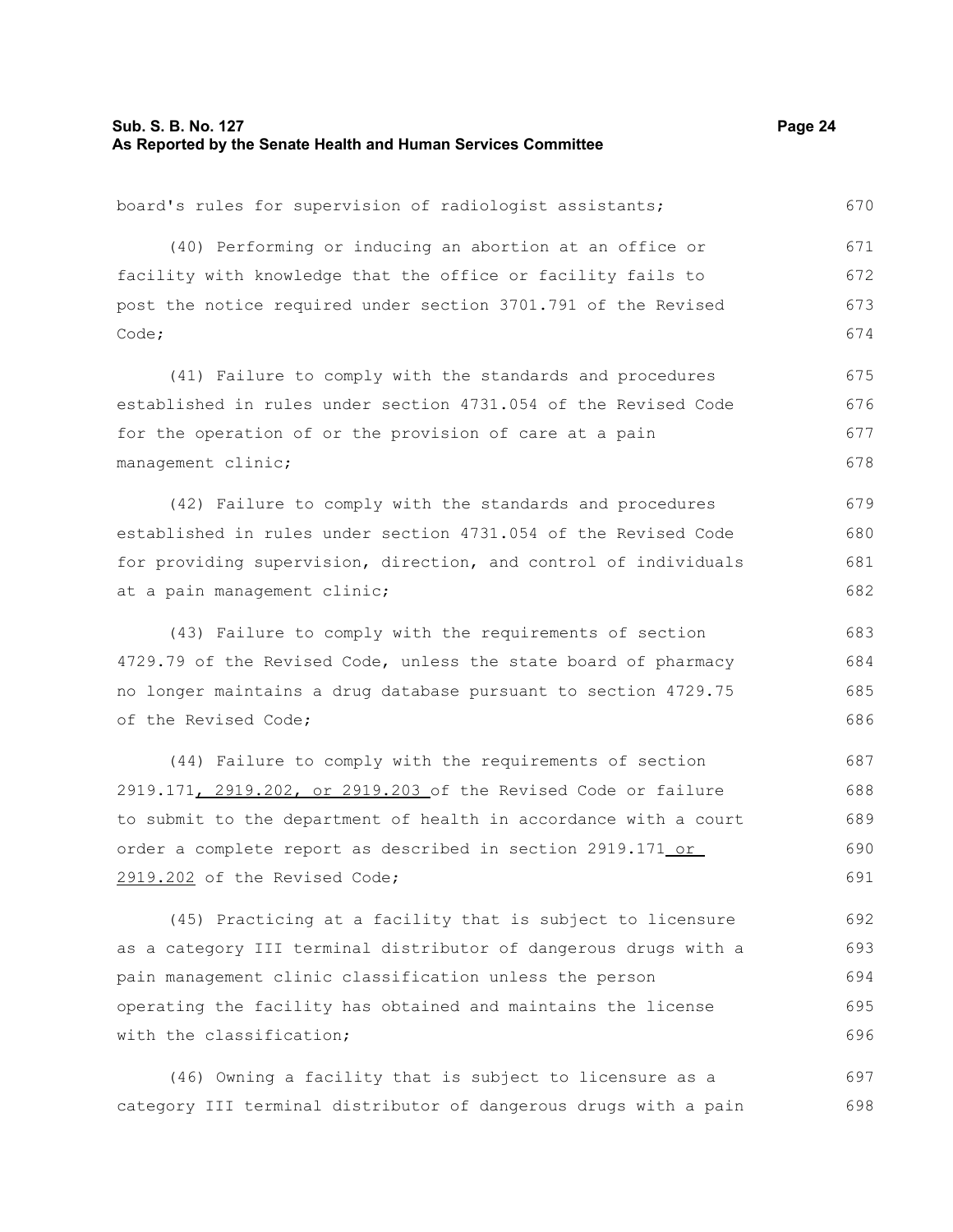| board's rules for supervision of radiologist assistants;         | 670 |
|------------------------------------------------------------------|-----|
| (40) Performing or inducing an abortion at an office or          | 671 |
| facility with knowledge that the office or facility fails to     | 672 |
| post the notice required under section 3701.791 of the Revised   | 673 |
| Code;                                                            | 674 |
| (41) Failure to comply with the standards and procedures         | 675 |
| established in rules under section 4731.054 of the Revised Code  | 676 |
| for the operation of or the provision of care at a pain          | 677 |
| management clinic;                                               | 678 |
| (42) Failure to comply with the standards and procedures         | 679 |
| established in rules under section 4731.054 of the Revised Code  | 680 |
| for providing supervision, direction, and control of individuals | 681 |
| at a pain management clinic;                                     | 682 |
| (43) Failure to comply with the requirements of section          | 683 |
| 4729.79 of the Revised Code, unless the state board of pharmacy  | 684 |
| no longer maintains a drug database pursuant to section 4729.75  | 685 |
| of the Revised Code;                                             | 686 |
| (44) Failure to comply with the requirements of section          | 687 |
| 2919.171, 2919.202, or 2919.203 of the Revised Code or failure   | 688 |
| to submit to the department of health in accordance with a court | 689 |
| order a complete report as described in section 2919.171 or      | 690 |
| 2919.202 of the Revised Code;                                    | 691 |
| (45) Practicing at a facility that is subject to licensure       | 692 |
|                                                                  |     |

as a category III terminal distributor of dangerous drugs with a pain management clinic classification unless the person operating the facility has obtained and maintains the license with the classification; 693 694 695 696

(46) Owning a facility that is subject to licensure as a category III terminal distributor of dangerous drugs with a pain 697 698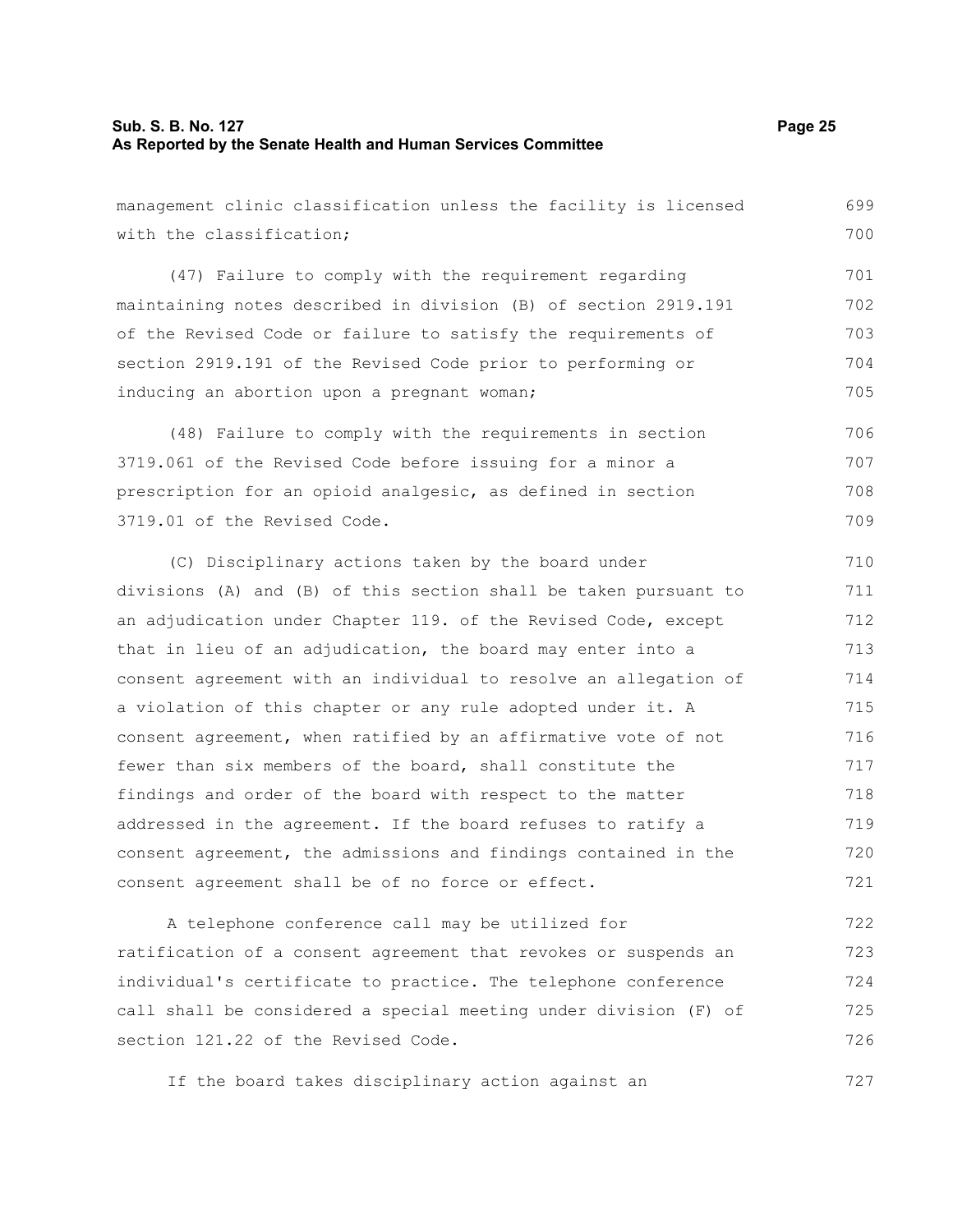727

| management clinic classification unless the facility is licensed | 699 |
|------------------------------------------------------------------|-----|
| with the classification;                                         | 700 |
| (47) Failure to comply with the requirement regarding            | 701 |
| maintaining notes described in division (B) of section 2919.191  | 702 |
| of the Revised Code or failure to satisfy the requirements of    | 703 |
| section 2919.191 of the Revised Code prior to performing or      | 704 |
| inducing an abortion upon a pregnant woman;                      | 705 |
| (48) Failure to comply with the requirements in section          | 706 |
| 3719.061 of the Revised Code before issuing for a minor a        | 707 |
| prescription for an opioid analgesic, as defined in section      | 708 |
| 3719.01 of the Revised Code.                                     | 709 |
| (C) Disciplinary actions taken by the board under                | 710 |
| divisions (A) and (B) of this section shall be taken pursuant to | 711 |
| an adjudication under Chapter 119. of the Revised Code, except   | 712 |
| that in lieu of an adjudication, the board may enter into a      | 713 |
| consent agreement with an individual to resolve an allegation of | 714 |
| a violation of this chapter or any rule adopted under it. A      | 715 |
| consent agreement, when ratified by an affirmative vote of not   | 716 |
| fewer than six members of the board, shall constitute the        | 717 |
| findings and order of the board with respect to the matter       | 718 |
| addressed in the agreement. If the board refuses to ratify a     | 719 |
| consent agreement, the admissions and findings contained in the  | 720 |
| consent agreement shall be of no force or effect.                | 721 |
| A telephone conference call may be utilized for                  | 722 |
| ratification of a consent agreement that revokes or suspends an  | 723 |
| individual's certificate to practice. The telephone conference   | 724 |
| call shall be considered a special meeting under division (F) of | 725 |
| section 121.22 of the Revised Code.                              | 726 |

If the board takes disciplinary action against an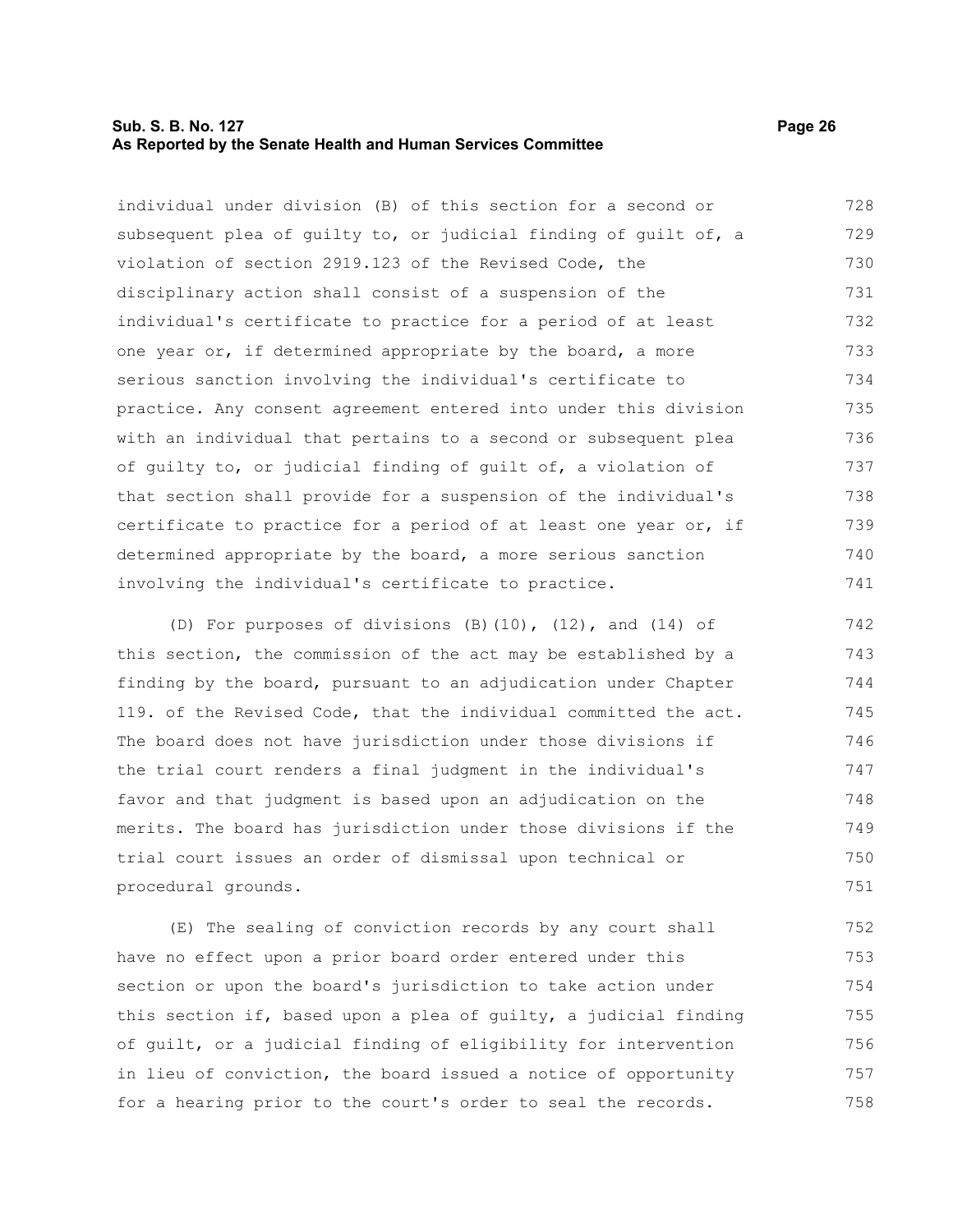### **Sub. S. B. No. 127 Page 26 As Reported by the Senate Health and Human Services Committee**

individual under division (B) of this section for a second or subsequent plea of guilty to, or judicial finding of guilt of, a violation of section 2919.123 of the Revised Code, the disciplinary action shall consist of a suspension of the individual's certificate to practice for a period of at least one year or, if determined appropriate by the board, a more serious sanction involving the individual's certificate to practice. Any consent agreement entered into under this division with an individual that pertains to a second or subsequent plea of guilty to, or judicial finding of guilt of, a violation of that section shall provide for a suspension of the individual's certificate to practice for a period of at least one year or, if determined appropriate by the board, a more serious sanction involving the individual's certificate to practice. 728 729 730 731 732 733 734 735 736 737 738 739 740 741

(D) For purposes of divisions (B)(10), (12), and (14) of this section, the commission of the act may be established by a finding by the board, pursuant to an adjudication under Chapter 119. of the Revised Code, that the individual committed the act. The board does not have jurisdiction under those divisions if the trial court renders a final judgment in the individual's favor and that judgment is based upon an adjudication on the merits. The board has jurisdiction under those divisions if the trial court issues an order of dismissal upon technical or procedural grounds. 742 743 744 745 746 747 748 749 750 751

(E) The sealing of conviction records by any court shall have no effect upon a prior board order entered under this section or upon the board's jurisdiction to take action under this section if, based upon a plea of guilty, a judicial finding of guilt, or a judicial finding of eligibility for intervention in lieu of conviction, the board issued a notice of opportunity for a hearing prior to the court's order to seal the records. 752 753 754 755 756 757 758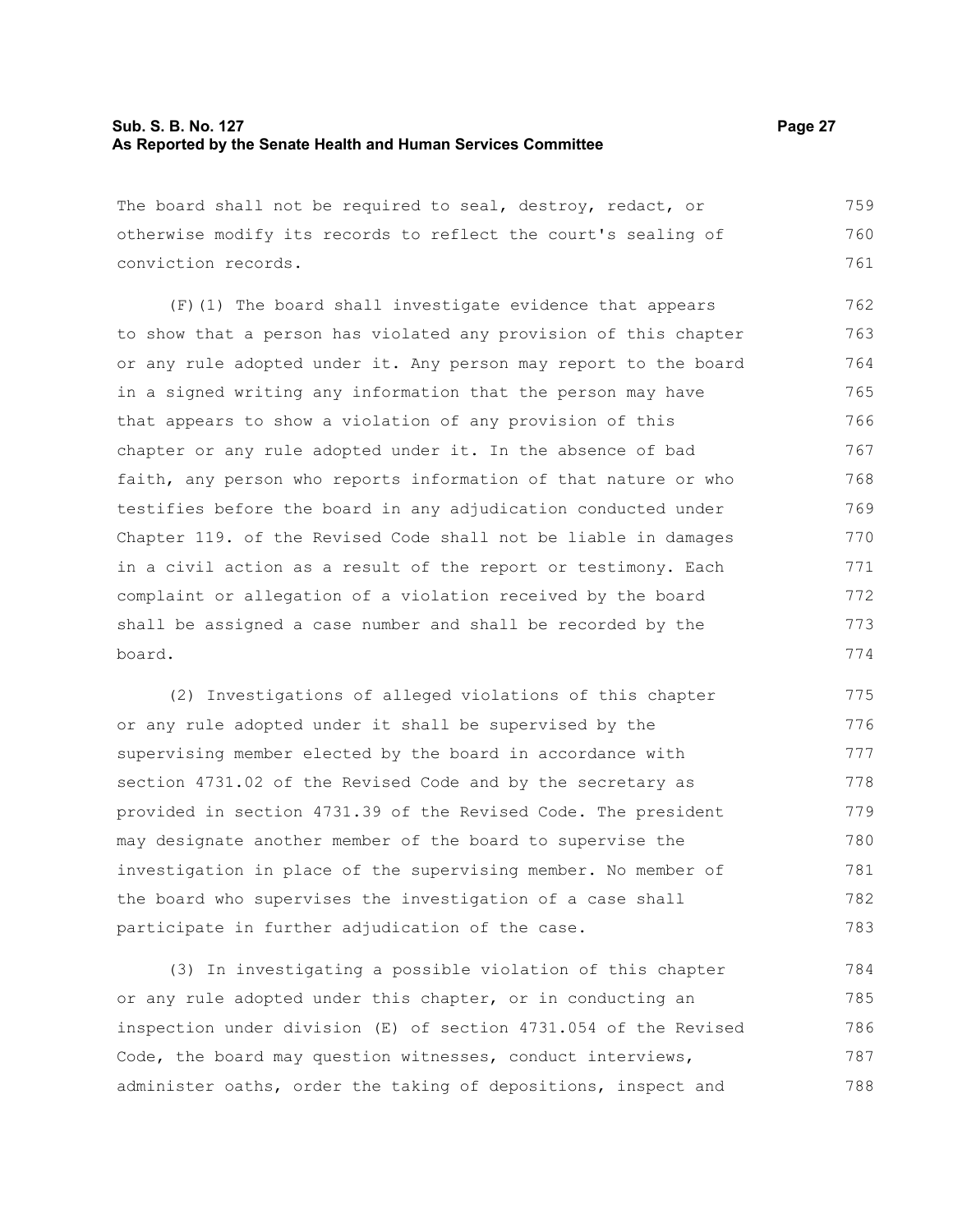### **Sub. S. B. No. 127 Page 27 As Reported by the Senate Health and Human Services Committee**

The board shall not be required to seal, destroy, redact, or otherwise modify its records to reflect the court's sealing of conviction records. 759 760 761

(F)(1) The board shall investigate evidence that appears to show that a person has violated any provision of this chapter or any rule adopted under it. Any person may report to the board in a signed writing any information that the person may have that appears to show a violation of any provision of this chapter or any rule adopted under it. In the absence of bad faith, any person who reports information of that nature or who testifies before the board in any adjudication conducted under Chapter 119. of the Revised Code shall not be liable in damages in a civil action as a result of the report or testimony. Each complaint or allegation of a violation received by the board shall be assigned a case number and shall be recorded by the board. 762 763 764 765 766 767 768 769 770 771 772 773 774

(2) Investigations of alleged violations of this chapter or any rule adopted under it shall be supervised by the supervising member elected by the board in accordance with section 4731.02 of the Revised Code and by the secretary as provided in section 4731.39 of the Revised Code. The president may designate another member of the board to supervise the investigation in place of the supervising member. No member of the board who supervises the investigation of a case shall participate in further adjudication of the case. 775 776 777 778 779 780 781 782 783

(3) In investigating a possible violation of this chapter or any rule adopted under this chapter, or in conducting an inspection under division (E) of section 4731.054 of the Revised Code, the board may question witnesses, conduct interviews, administer oaths, order the taking of depositions, inspect and 784 785 786 787 788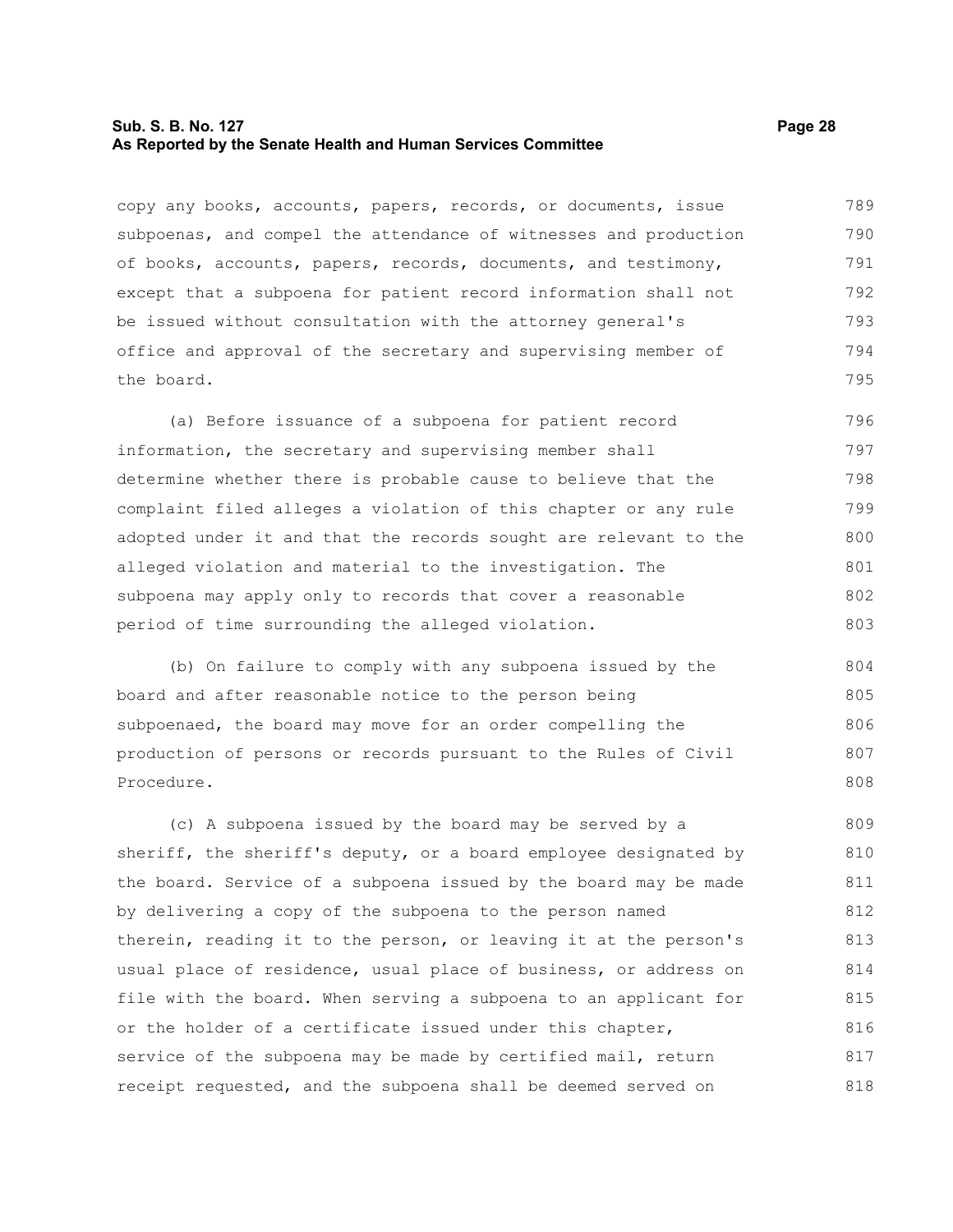### **Sub. S. B. No. 127 Page 28 As Reported by the Senate Health and Human Services Committee**

copy any books, accounts, papers, records, or documents, issue subpoenas, and compel the attendance of witnesses and production of books, accounts, papers, records, documents, and testimony, except that a subpoena for patient record information shall not be issued without consultation with the attorney general's office and approval of the secretary and supervising member of the board. 789 790 791 792 793 794 795

(a) Before issuance of a subpoena for patient record information, the secretary and supervising member shall determine whether there is probable cause to believe that the complaint filed alleges a violation of this chapter or any rule adopted under it and that the records sought are relevant to the alleged violation and material to the investigation. The subpoena may apply only to records that cover a reasonable period of time surrounding the alleged violation. 796 797 798 799 800 801 802 803

(b) On failure to comply with any subpoena issued by the board and after reasonable notice to the person being subpoenaed, the board may move for an order compelling the production of persons or records pursuant to the Rules of Civil Procedure. 804 805 806 807 808

(c) A subpoena issued by the board may be served by a sheriff, the sheriff's deputy, or a board employee designated by the board. Service of a subpoena issued by the board may be made by delivering a copy of the subpoena to the person named therein, reading it to the person, or leaving it at the person's usual place of residence, usual place of business, or address on file with the board. When serving a subpoena to an applicant for or the holder of a certificate issued under this chapter, service of the subpoena may be made by certified mail, return receipt requested, and the subpoena shall be deemed served on 809 810 811 812 813 814 815 816 817 818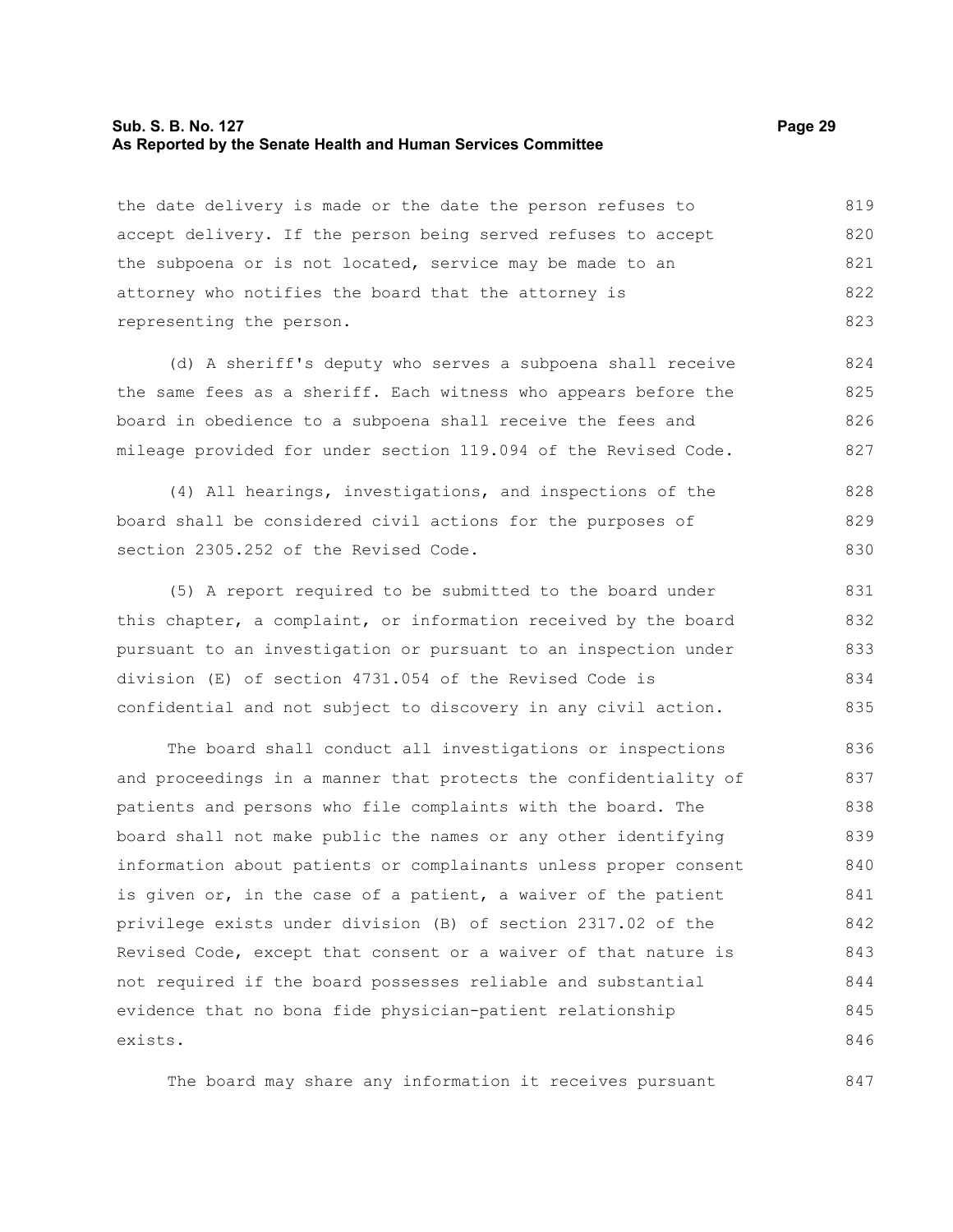#### **Sub. S. B. No. 127 Page 29 As Reported by the Senate Health and Human Services Committee**

847

the date delivery is made or the date the person refuses to accept delivery. If the person being served refuses to accept the subpoena or is not located, service may be made to an attorney who notifies the board that the attorney is representing the person. 819 820 821 822 823

(d) A sheriff's deputy who serves a subpoena shall receive the same fees as a sheriff. Each witness who appears before the board in obedience to a subpoena shall receive the fees and mileage provided for under section 119.094 of the Revised Code. 824 825 826 827

(4) All hearings, investigations, and inspections of the board shall be considered civil actions for the purposes of section 2305.252 of the Revised Code. 828 829 830

(5) A report required to be submitted to the board under this chapter, a complaint, or information received by the board pursuant to an investigation or pursuant to an inspection under division (E) of section 4731.054 of the Revised Code is confidential and not subject to discovery in any civil action. 831 832 833 834 835

The board shall conduct all investigations or inspections and proceedings in a manner that protects the confidentiality of patients and persons who file complaints with the board. The board shall not make public the names or any other identifying information about patients or complainants unless proper consent is given or, in the case of a patient, a waiver of the patient privilege exists under division (B) of section 2317.02 of the Revised Code, except that consent or a waiver of that nature is not required if the board possesses reliable and substantial evidence that no bona fide physician-patient relationship exists. 836 837 838 839 840 841 842 843 844 845 846

The board may share any information it receives pursuant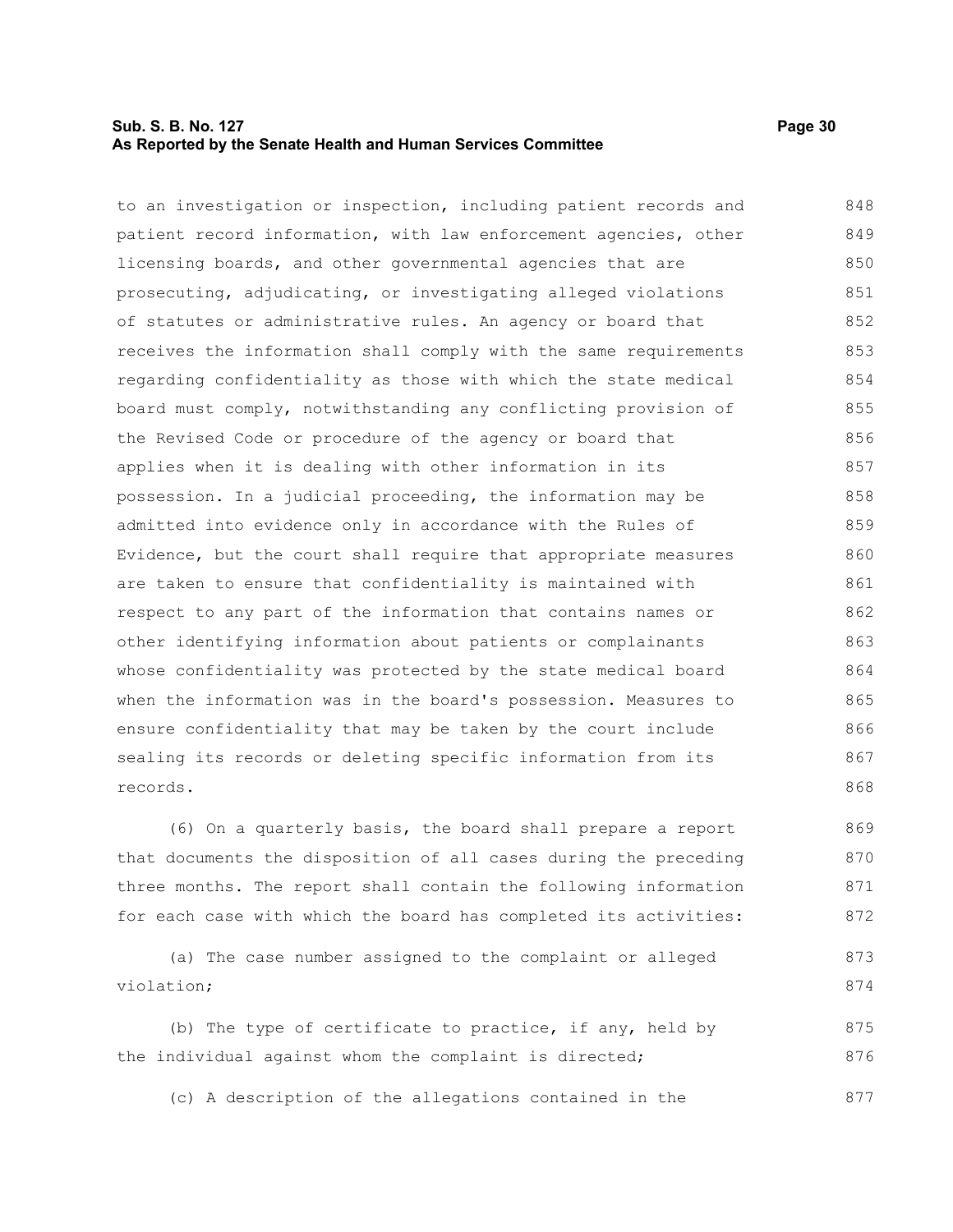### **Sub. S. B. No. 127 Page 30 As Reported by the Senate Health and Human Services Committee**

to an investigation or inspection, including patient records and patient record information, with law enforcement agencies, other licensing boards, and other governmental agencies that are prosecuting, adjudicating, or investigating alleged violations of statutes or administrative rules. An agency or board that receives the information shall comply with the same requirements regarding confidentiality as those with which the state medical board must comply, notwithstanding any conflicting provision of the Revised Code or procedure of the agency or board that applies when it is dealing with other information in its possession. In a judicial proceeding, the information may be admitted into evidence only in accordance with the Rules of Evidence, but the court shall require that appropriate measures are taken to ensure that confidentiality is maintained with respect to any part of the information that contains names or other identifying information about patients or complainants whose confidentiality was protected by the state medical board when the information was in the board's possession. Measures to ensure confidentiality that may be taken by the court include sealing its records or deleting specific information from its records. 848 849 850 851 852 853 854 855 856 857 858 859 860 861 862 863 864 865 866 867 868

(6) On a quarterly basis, the board shall prepare a report that documents the disposition of all cases during the preceding three months. The report shall contain the following information for each case with which the board has completed its activities: 869 870 871 872

```
(a) The case number assigned to the complaint or alleged
violation;
                                                                            873
                                                                            874
```
(b) The type of certificate to practice, if any, held by the individual against whom the complaint is directed; 875 876

(c) A description of the allegations contained in the 877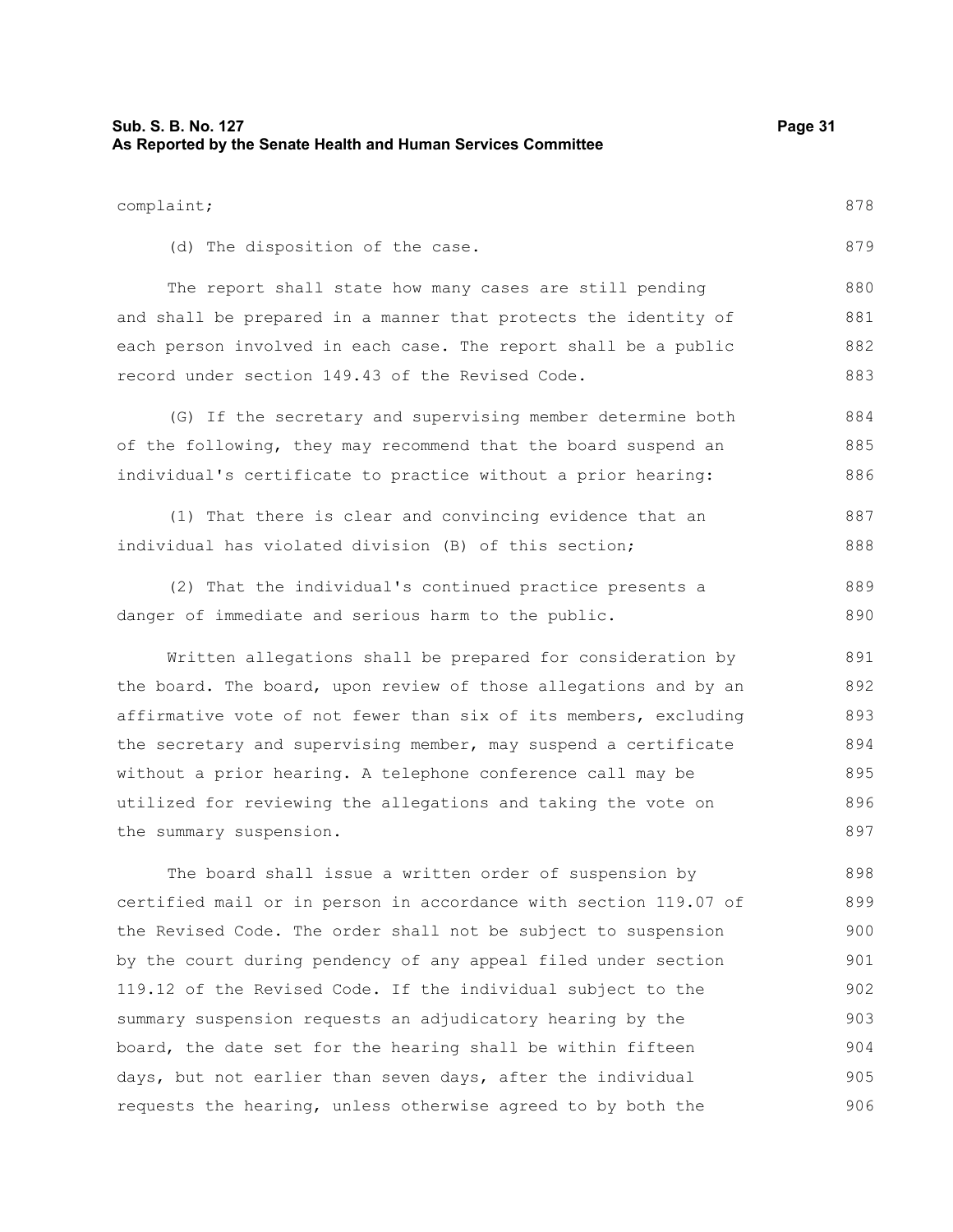| Sub. S. B. No. 127<br>As Reported by the Senate Health and Human Services Committee | Page 31 |
|-------------------------------------------------------------------------------------|---------|
| complaint;                                                                          | 878     |
| (d) The disposition of the case.                                                    | 879     |
| The report shall state how many cases are still pending                             | 880     |
| and shall be prepared in a manner that protects the identity of                     | 881     |

each person involved in each case. The report shall be a public record under section 149.43 of the Revised Code. 882 883

(G) If the secretary and supervising member determine both of the following, they may recommend that the board suspend an individual's certificate to practice without a prior hearing: 884 885 886

(1) That there is clear and convincing evidence that an individual has violated division (B) of this section; 887 888

(2) That the individual's continued practice presents a danger of immediate and serious harm to the public. 889 890

Written allegations shall be prepared for consideration by the board. The board, upon review of those allegations and by an affirmative vote of not fewer than six of its members, excluding the secretary and supervising member, may suspend a certificate without a prior hearing. A telephone conference call may be utilized for reviewing the allegations and taking the vote on the summary suspension. 891 892 893 894 895 896 897

The board shall issue a written order of suspension by certified mail or in person in accordance with section 119.07 of the Revised Code. The order shall not be subject to suspension by the court during pendency of any appeal filed under section 119.12 of the Revised Code. If the individual subject to the summary suspension requests an adjudicatory hearing by the board, the date set for the hearing shall be within fifteen days, but not earlier than seven days, after the individual requests the hearing, unless otherwise agreed to by both the 898 899 900 901 902 903 904 905 906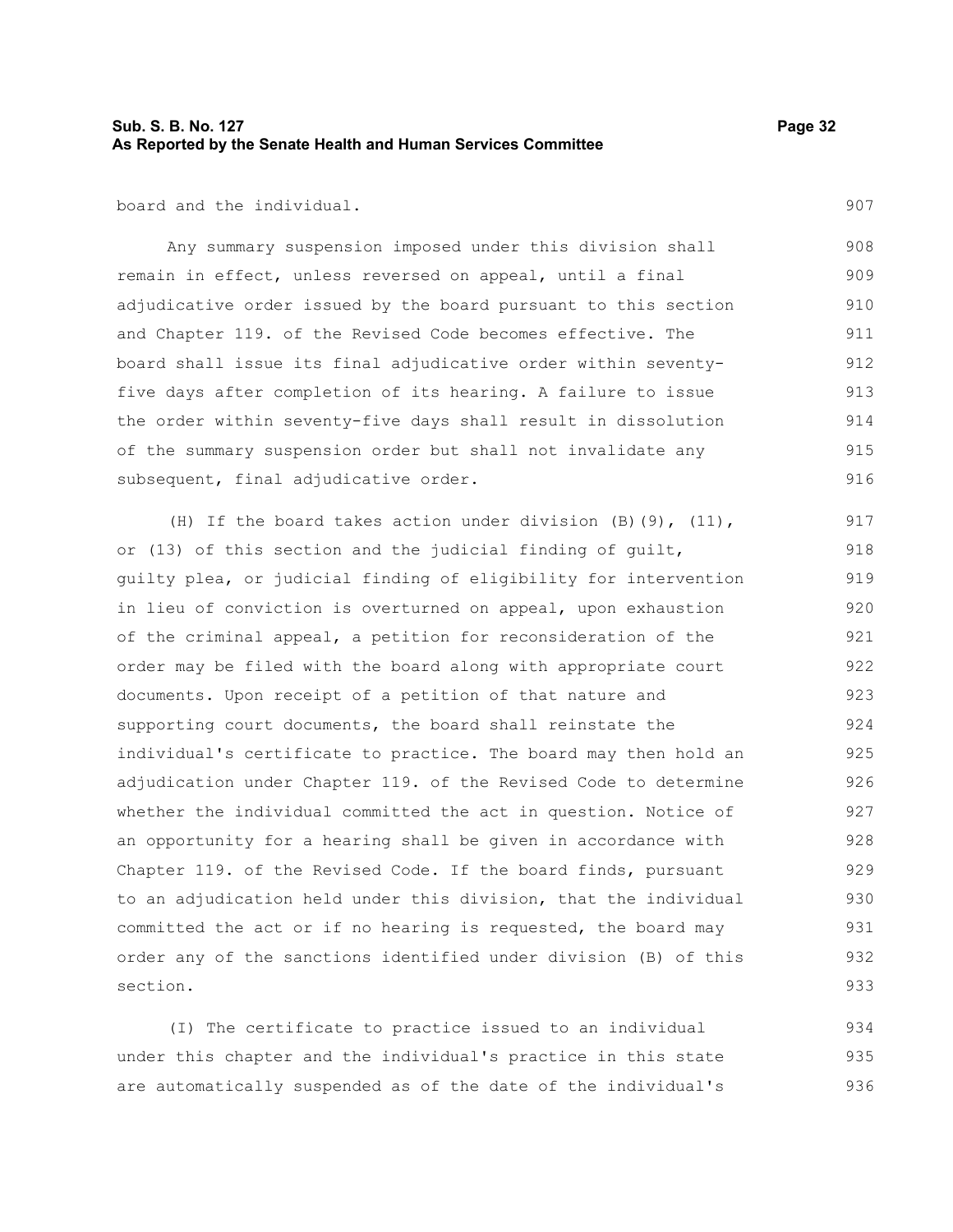907

board and the individual.

Any summary suspension imposed under this division shall remain in effect, unless reversed on appeal, until a final adjudicative order issued by the board pursuant to this section and Chapter 119. of the Revised Code becomes effective. The board shall issue its final adjudicative order within seventyfive days after completion of its hearing. A failure to issue the order within seventy-five days shall result in dissolution of the summary suspension order but shall not invalidate any subsequent, final adjudicative order. 908 909 910 911 912 913 914 915 916

(H) If the board takes action under division (B)(9), (11), or (13) of this section and the judicial finding of guilt, guilty plea, or judicial finding of eligibility for intervention in lieu of conviction is overturned on appeal, upon exhaustion of the criminal appeal, a petition for reconsideration of the order may be filed with the board along with appropriate court documents. Upon receipt of a petition of that nature and supporting court documents, the board shall reinstate the individual's certificate to practice. The board may then hold an adjudication under Chapter 119. of the Revised Code to determine whether the individual committed the act in question. Notice of an opportunity for a hearing shall be given in accordance with Chapter 119. of the Revised Code. If the board finds, pursuant to an adjudication held under this division, that the individual committed the act or if no hearing is requested, the board may order any of the sanctions identified under division (B) of this section. 917 918 919 920 921 922 923 924 925 926 927 928 929 930 931 932 933

(I) The certificate to practice issued to an individual under this chapter and the individual's practice in this state are automatically suspended as of the date of the individual's 934 935 936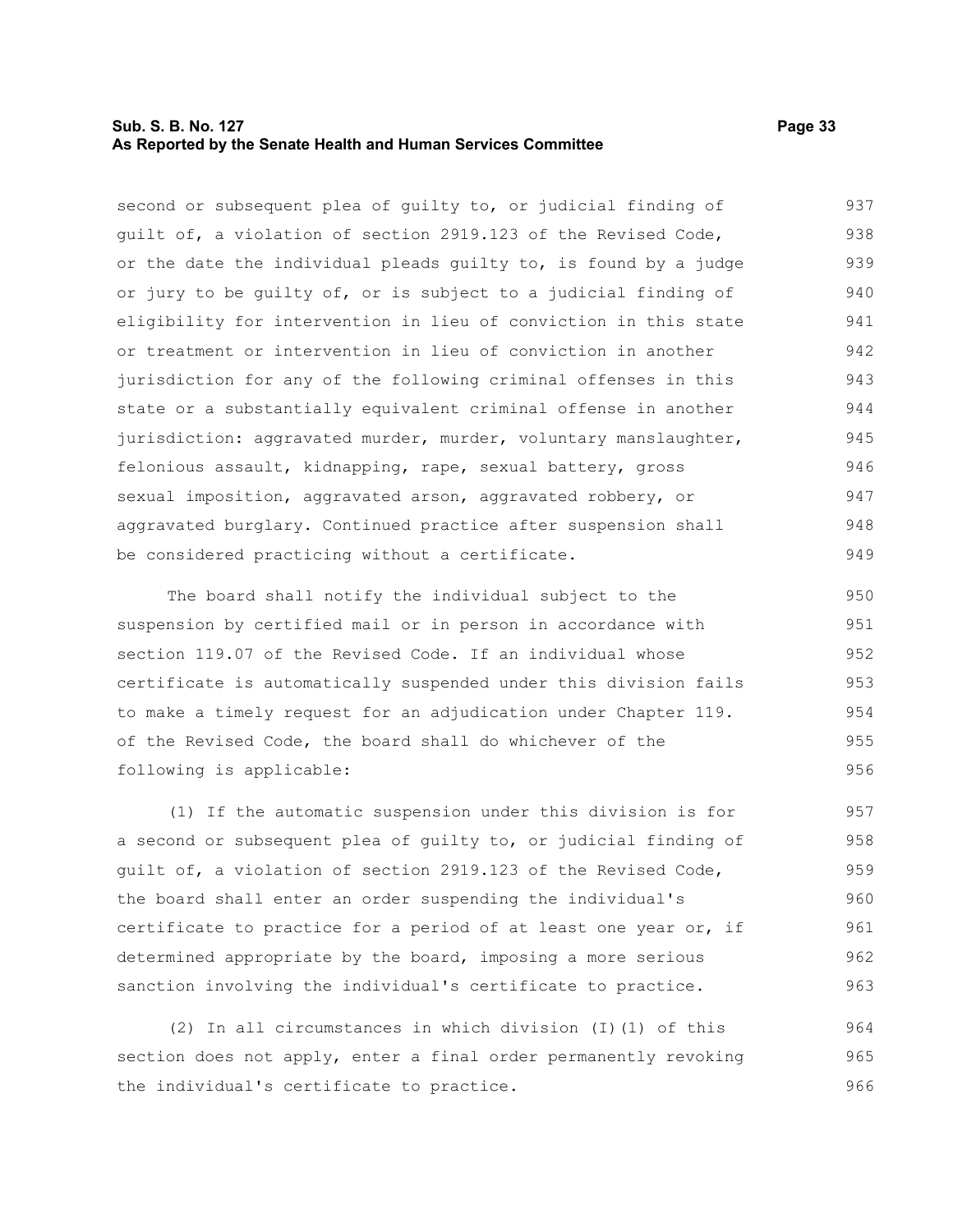### **Sub. S. B. No. 127 Page 33 As Reported by the Senate Health and Human Services Committee**

second or subsequent plea of guilty to, or judicial finding of guilt of, a violation of section 2919.123 of the Revised Code, or the date the individual pleads guilty to, is found by a judge or jury to be guilty of, or is subject to a judicial finding of eligibility for intervention in lieu of conviction in this state or treatment or intervention in lieu of conviction in another jurisdiction for any of the following criminal offenses in this state or a substantially equivalent criminal offense in another jurisdiction: aggravated murder, murder, voluntary manslaughter, felonious assault, kidnapping, rape, sexual battery, gross sexual imposition, aggravated arson, aggravated robbery, or aggravated burglary. Continued practice after suspension shall be considered practicing without a certificate. 937 938 939 940 941 942 943 944 945 946 947 948 949

The board shall notify the individual subject to the suspension by certified mail or in person in accordance with section 119.07 of the Revised Code. If an individual whose certificate is automatically suspended under this division fails to make a timely request for an adjudication under Chapter 119. of the Revised Code, the board shall do whichever of the following is applicable: 950 951 952 953 954 955 956

(1) If the automatic suspension under this division is for a second or subsequent plea of guilty to, or judicial finding of guilt of, a violation of section 2919.123 of the Revised Code, the board shall enter an order suspending the individual's certificate to practice for a period of at least one year or, if determined appropriate by the board, imposing a more serious sanction involving the individual's certificate to practice. 957 958 959 960 961 962 963

(2) In all circumstances in which division (I)(1) of this section does not apply, enter a final order permanently revoking the individual's certificate to practice. 964 965 966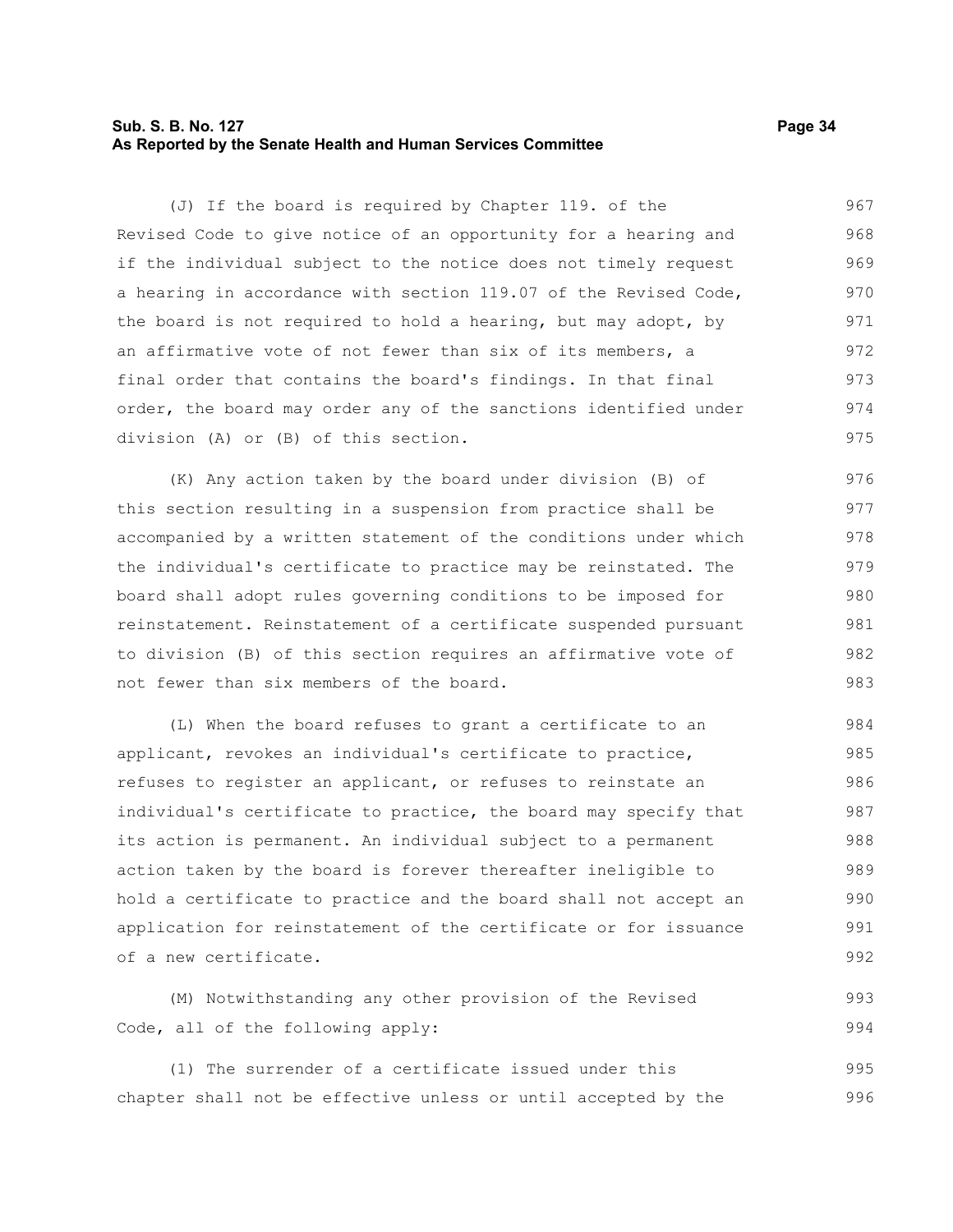### **Sub. S. B. No. 127 Page 34 As Reported by the Senate Health and Human Services Committee**

(J) If the board is required by Chapter 119. of the Revised Code to give notice of an opportunity for a hearing and if the individual subject to the notice does not timely request a hearing in accordance with section 119.07 of the Revised Code, the board is not required to hold a hearing, but may adopt, by an affirmative vote of not fewer than six of its members, a final order that contains the board's findings. In that final order, the board may order any of the sanctions identified under division (A) or (B) of this section. 967 968 969 970 971 972 973 974 975

(K) Any action taken by the board under division (B) of this section resulting in a suspension from practice shall be accompanied by a written statement of the conditions under which the individual's certificate to practice may be reinstated. The board shall adopt rules governing conditions to be imposed for reinstatement. Reinstatement of a certificate suspended pursuant to division (B) of this section requires an affirmative vote of not fewer than six members of the board. 976 977 978 979 980 981 982 983

(L) When the board refuses to grant a certificate to an applicant, revokes an individual's certificate to practice, refuses to register an applicant, or refuses to reinstate an individual's certificate to practice, the board may specify that its action is permanent. An individual subject to a permanent action taken by the board is forever thereafter ineligible to hold a certificate to practice and the board shall not accept an application for reinstatement of the certificate or for issuance of a new certificate. 984 985 986 987 988 989 990 991 992

(M) Notwithstanding any other provision of the Revised Code, all of the following apply: 993 994

(1) The surrender of a certificate issued under this chapter shall not be effective unless or until accepted by the 995 996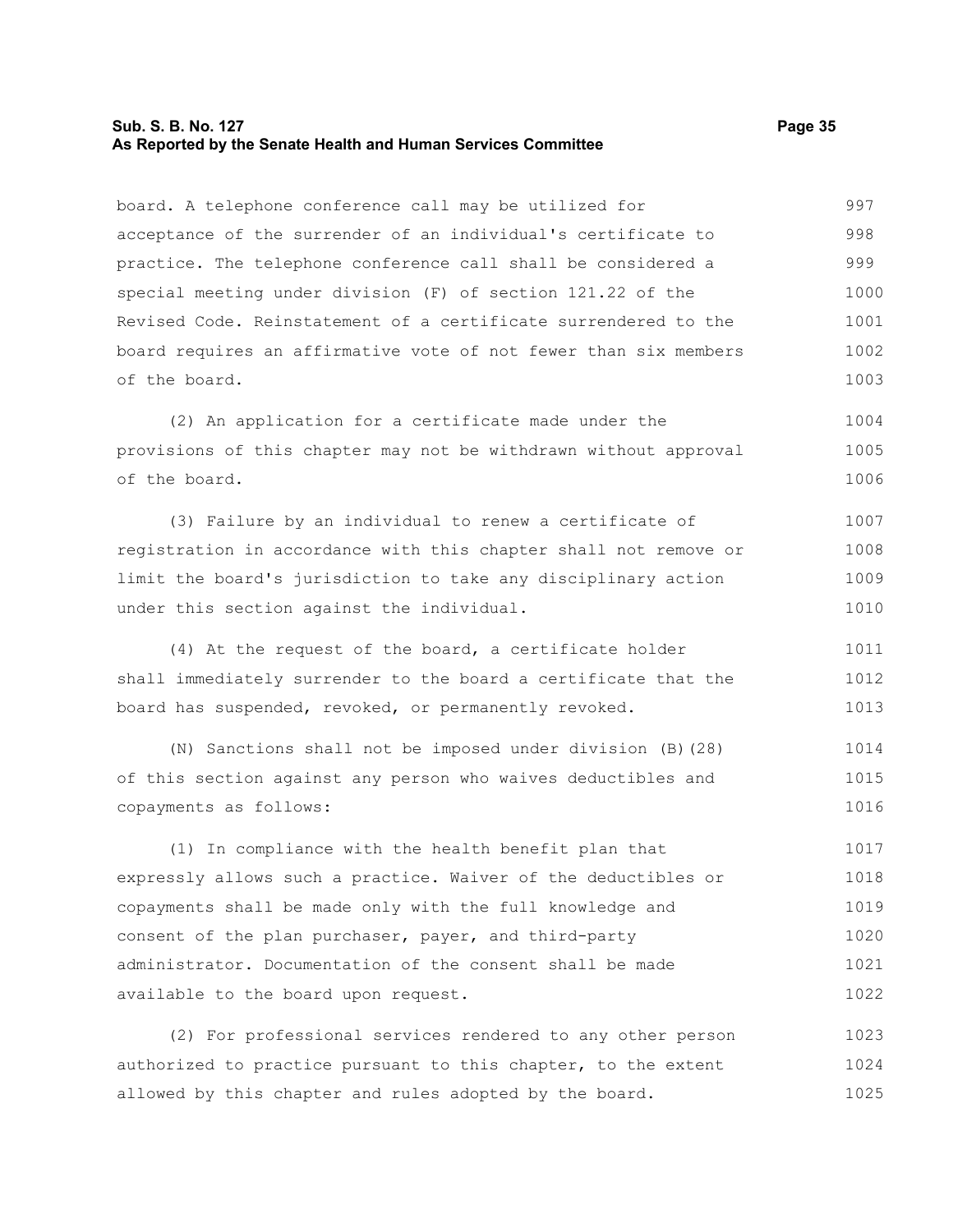#### **Sub. S. B. No. 127 Page 35 As Reported by the Senate Health and Human Services Committee**

board. A telephone conference call may be utilized for acceptance of the surrender of an individual's certificate to practice. The telephone conference call shall be considered a special meeting under division (F) of section 121.22 of the Revised Code. Reinstatement of a certificate surrendered to the board requires an affirmative vote of not fewer than six members of the board. (2) An application for a certificate made under the provisions of this chapter may not be withdrawn without approval of the board. (3) Failure by an individual to renew a certificate of registration in accordance with this chapter shall not remove or limit the board's jurisdiction to take any disciplinary action under this section against the individual. (4) At the request of the board, a certificate holder shall immediately surrender to the board a certificate that the board has suspended, revoked, or permanently revoked. (N) Sanctions shall not be imposed under division (B)(28) of this section against any person who waives deductibles and copayments as follows: (1) In compliance with the health benefit plan that expressly allows such a practice. Waiver of the deductibles or copayments shall be made only with the full knowledge and consent of the plan purchaser, payer, and third-party administrator. Documentation of the consent shall be made available to the board upon request. (2) For professional services rendered to any other person 997 998 999 1000 1001 1002 1003 1004 1005 1006 1007 1008 1009 1010 1011 1012 1013 1014 1015 1016 1017 1018 1019 1020 1021 1022 1023

authorized to practice pursuant to this chapter, to the extent allowed by this chapter and rules adopted by the board. 1024 1025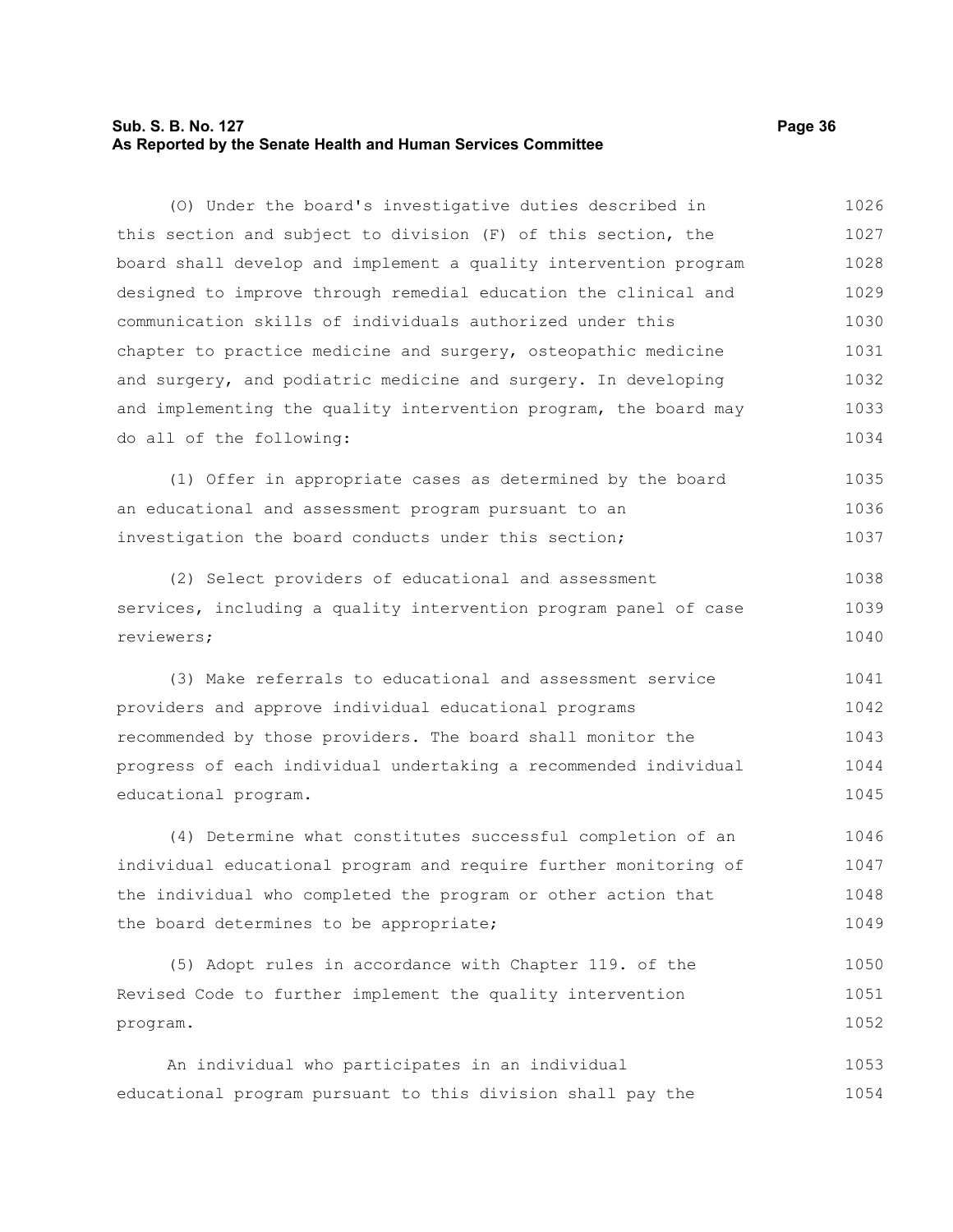### **Sub. S. B. No. 127 Page 36 As Reported by the Senate Health and Human Services Committee**

(O) Under the board's investigative duties described in this section and subject to division (F) of this section, the board shall develop and implement a quality intervention program designed to improve through remedial education the clinical and communication skills of individuals authorized under this chapter to practice medicine and surgery, osteopathic medicine and surgery, and podiatric medicine and surgery. In developing and implementing the quality intervention program, the board may do all of the following: 1026 1027 1028 1029 1030 1031 1032 1033 1034

(1) Offer in appropriate cases as determined by the board an educational and assessment program pursuant to an investigation the board conducts under this section; 1035 1036 1037

(2) Select providers of educational and assessment services, including a quality intervention program panel of case reviewers; 1038 1039 1040

(3) Make referrals to educational and assessment service providers and approve individual educational programs recommended by those providers. The board shall monitor the progress of each individual undertaking a recommended individual educational program. 1041 1042 1043 1044 1045

(4) Determine what constitutes successful completion of an individual educational program and require further monitoring of the individual who completed the program or other action that the board determines to be appropriate; 1046 1047 1048 1049

(5) Adopt rules in accordance with Chapter 119. of the Revised Code to further implement the quality intervention program. 1050 1051 1052

An individual who participates in an individual educational program pursuant to this division shall pay the 1053 1054